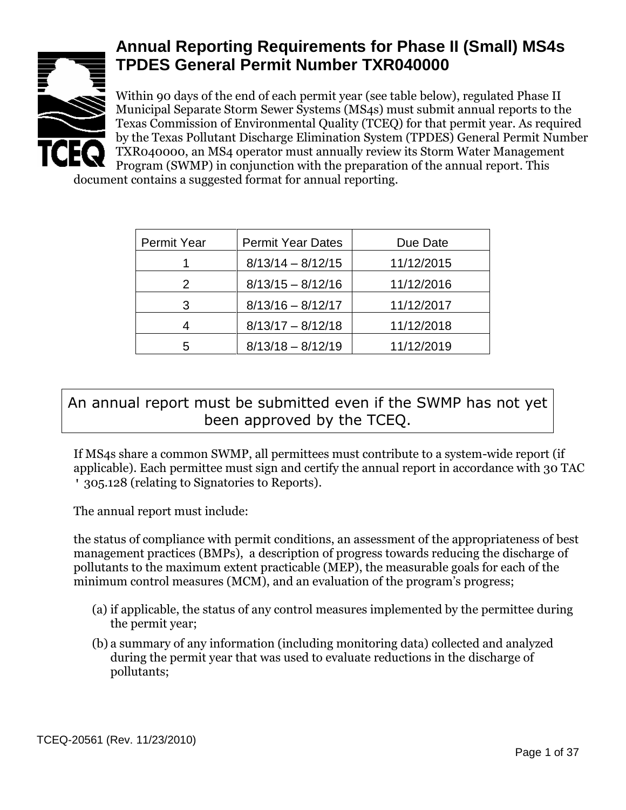

# **Annual Reporting Requirements for Phase II (Small) MS4s TPDES General Permit Number TXR040000**

Within 90 days of the end of each permit year (see table below), regulated Phase II Municipal Separate Storm Sewer Systems (MS4s) must submit annual reports to the Texas Commission of Environmental Quality (TCEQ) for that permit year. As required by the Texas Pollutant Discharge Elimination System (TPDES) General Permit Number TXR040000, an MS4 operator must annually review its Storm Water Management **Program (SWMP)** in conjunction with the preparation of the annual report. This

document contains a suggested format for annual reporting.

| <b>Permit Year</b> | <b>Permit Year Dates</b> | Due Date   |
|--------------------|--------------------------|------------|
|                    | $8/13/14 - 8/12/15$      | 11/12/2015 |
| 2                  | $8/13/15 - 8/12/16$      | 11/12/2016 |
| З                  | $8/13/16 - 8/12/17$      | 11/12/2017 |
| 4                  | $8/13/17 - 8/12/18$      | 11/12/2018 |
| 5                  | $8/13/18 - 8/12/19$      | 11/12/2019 |

### An annual report must be submitted even if the SWMP has not yet been approved by the TCEQ.

If MS4s share a common SWMP, all permittees must contribute to a system-wide report (if applicable). Each permittee must sign and certify the annual report in accordance with 30 TAC ' 305.128 (relating to Signatories to Reports).

The annual report must include:

the status of compliance with permit conditions, an assessment of the appropriateness of best management practices (BMPs), a description of progress towards reducing the discharge of pollutants to the maximum extent practicable (MEP), the measurable goals for each of the minimum control measures (MCM), and an evaluation of the program's progress;

- (a) if applicable, the status of any control measures implemented by the permittee during the permit year;
- (b) a summary of any information (including monitoring data) collected and analyzed during the permit year that was used to evaluate reductions in the discharge of pollutants;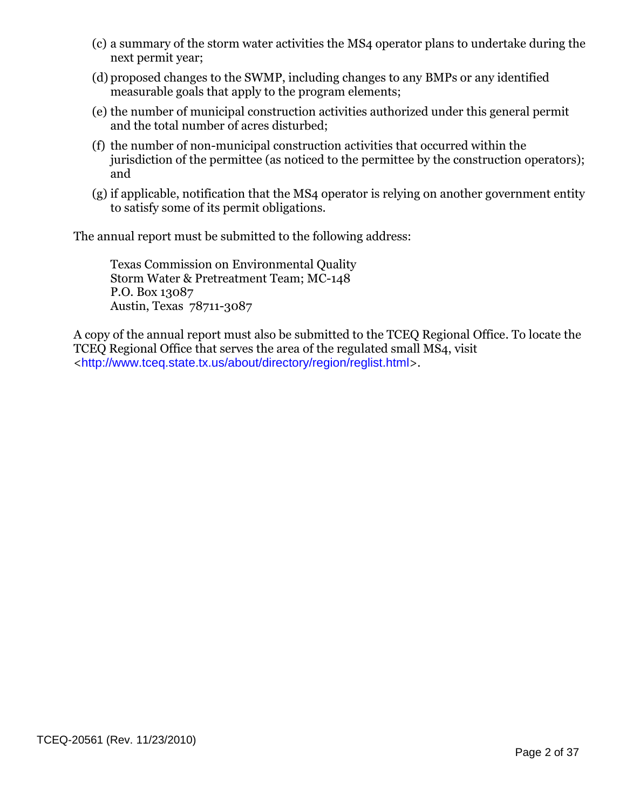- (c) a summary of the storm water activities the MS4 operator plans to undertake during the next permit year;
- (d) proposed changes to the SWMP, including changes to any BMPs or any identified measurable goals that apply to the program elements;
- (e) the number of municipal construction activities authorized under this general permit and the total number of acres disturbed;
- (f) the number of non-municipal construction activities that occurred within the jurisdiction of the permittee (as noticed to the permittee by the construction operators); and
- (g) if applicable, notification that the MS4 operator is relying on another government entity to satisfy some of its permit obligations.

The annual report must be submitted to the following address:

Texas Commission on Environmental Quality Storm Water & Pretreatment Team; MC-148 P.O. Box 13087 Austin, Texas 78711-3087

A copy of the annual report must also be submitted to the TCEQ Regional Office. To locate the TCEQ Regional Office that serves the area of the regulated small MS4, visit <<http://www.tceq.state.tx.us/about/directory/region/reglist.html>>.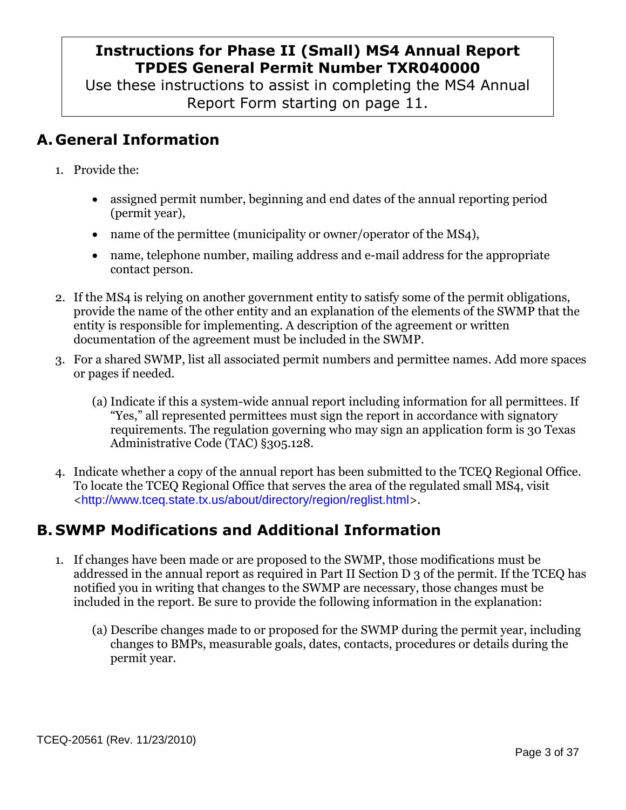### **Instructions for Phase II (Small) MS4 Annual Report TPDES General Permit Number TXR040000**

Use these instructions to assist in completing the MS4 Annual Report Form starting on page 11.

# **A. General Information**

- 1. Provide the:
	- assigned permit number, beginning and end dates of the annual reporting period (permit year),
	- name of the permittee (municipality or owner/operator of the MS4),
	- name, telephone number, mailing address and e-mail address for the appropriate contact person.
- 2. If the MS4 is relying on another government entity to satisfy some of the permit obligations, provide the name of the other entity and an explanation of the elements of the SWMP that the entity is responsible for implementing. A description of the agreement or written documentation of the agreement must be included in the SWMP.
- 3. For a shared SWMP, list all associated permit numbers and permittee names. Add more spaces or pages if needed.
	- (a) Indicate if this a system-wide annual report including information for all permittees. If "Yes," all represented permittees must sign the report in accordance with signatory requirements. The regulation governing who may sign an application form is 30 Texas Administrative Code (TAC) §305.128.
- 4. Indicate whether a copy of the annual report has been submitted to the TCEQ Regional Office. To locate the TCEQ Regional Office that serves the area of the regulated small MS4, visit <<http://www.tceq.state.tx.us/about/directory/region/reglist.html>>.

# **B. SWMP Modifications and Additional Information**

- 1. If changes have been made or are proposed to the SWMP, those modifications must be addressed in the annual report as required in Part II Section D 3 of the permit. If the TCEQ has notified you in writing that changes to the SWMP are necessary, those changes must be included in the report. Be sure to provide the following information in the explanation:
	- (a) Describe changes made to or proposed for the SWMP during the permit year, including changes to BMPs, measurable goals, dates, contacts, procedures or details during the permit year.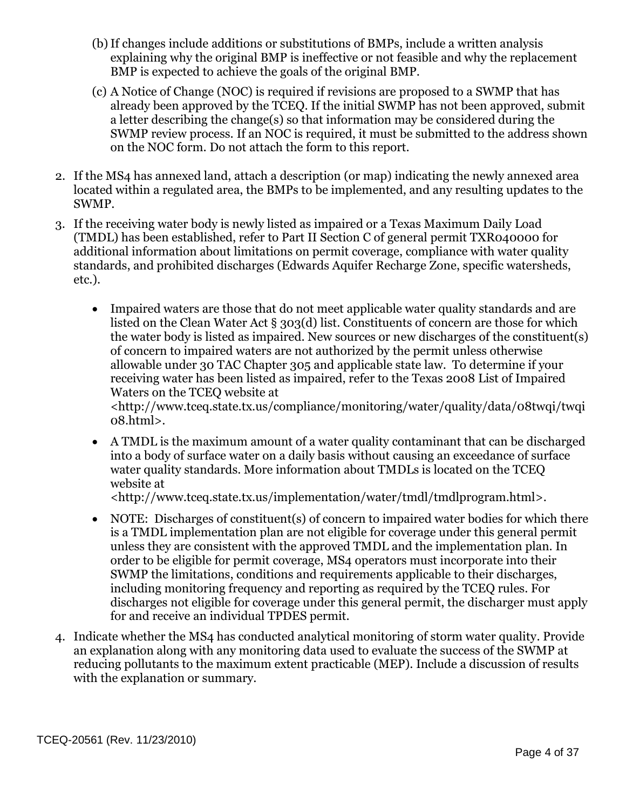- (b)If changes include additions or substitutions of BMPs, include a written analysis explaining why the original BMP is ineffective or not feasible and why the replacement BMP is expected to achieve the goals of the original BMP.
- (c) A Notice of Change (NOC) is required if revisions are proposed to a SWMP that has already been approved by the TCEQ. If the initial SWMP has not been approved, submit a letter describing the change(s) so that information may be considered during the SWMP review process. If an NOC is required, it must be submitted to the address shown on the NOC form. Do not attach the form to this report.
- 2. If the MS4 has annexed land, attach a description (or map) indicating the newly annexed area located within a regulated area, the BMPs to be implemented, and any resulting updates to the SWMP.
- 3. If the receiving water body is newly listed as impaired or a Texas Maximum Daily Load (TMDL) has been established, refer to Part II Section C of general permit TXR040000 for additional information about limitations on permit coverage, compliance with water quality standards, and prohibited discharges (Edwards Aquifer Recharge Zone, specific watersheds, etc.).
	- Impaired waters are those that do not meet applicable water quality standards and are listed on the Clean Water Act § 303(d) list. Constituents of concern are those for which the water body is listed as impaired. New sources or new discharges of the constituent(s) of concern to impaired waters are not authorized by the permit unless otherwise allowable under 30 TAC Chapter 305 and applicable state law. To determine if your receiving water has been listed as impaired, refer to the Texas 2008 List of Impaired Waters on the TCEQ website at

[<http://www.tceq.state.tx.us/compliance/monitoring/water/quality/data/08twqi/twqi](http://www.tceq.state.tx.us/compliance/monitoring/water/quality/data/08twqi/twqi08.html) [08.html>](http://www.tceq.state.tx.us/compliance/monitoring/water/quality/data/08twqi/twqi08.html).

 A TMDL is the maximum amount of a water quality contaminant that can be discharged into a body of surface water on a daily basis without causing an exceedance of surface water quality standards. More information about TMDLs is located on the TCEQ website at

[<http://www.tceq.state.tx.us/implementation/water/tmdl/tmdlprogram.html>](http://www.tceq.state.tx.us/implementation/water/tmdl/tmdlprogram.html).

- NOTE: Discharges of constituent(s) of concern to impaired water bodies for which there is a TMDL implementation plan are not eligible for coverage under this general permit unless they are consistent with the approved TMDL and the implementation plan. In order to be eligible for permit coverage, MS4 operators must incorporate into their SWMP the limitations, conditions and requirements applicable to their discharges, including monitoring frequency and reporting as required by the TCEQ rules. For discharges not eligible for coverage under this general permit, the discharger must apply for and receive an individual TPDES permit.
- 4. Indicate whether the MS4 has conducted analytical monitoring of storm water quality. Provide an explanation along with any monitoring data used to evaluate the success of the SWMP at reducing pollutants to the maximum extent practicable (MEP). Include a discussion of results with the explanation or summary.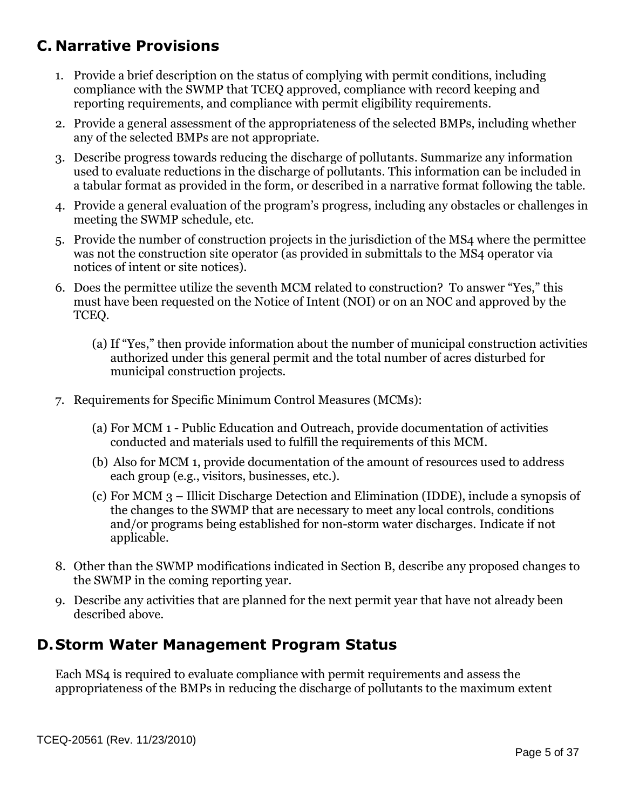# **C. Narrative Provisions**

- 1. Provide a brief description on the status of complying with permit conditions, including compliance with the SWMP that TCEQ approved, compliance with record keeping and reporting requirements, and compliance with permit eligibility requirements.
- 2. Provide a general assessment of the appropriateness of the selected BMPs, including whether any of the selected BMPs are not appropriate.
- 3. Describe progress towards reducing the discharge of pollutants. Summarize any information used to evaluate reductions in the discharge of pollutants. This information can be included in a tabular format as provided in the form, or described in a narrative format following the table.
- 4. Provide a general evaluation of the program's progress, including any obstacles or challenges in meeting the SWMP schedule, etc.
- 5. Provide the number of construction projects in the jurisdiction of the MS4 where the permittee was not the construction site operator (as provided in submittals to the MS4 operator via notices of intent or site notices).
- 6. Does the permittee utilize the seventh MCM related to construction? To answer "Yes," this must have been requested on the Notice of Intent (NOI) or on an NOC and approved by the TCEQ.
	- (a) If "Yes," then provide information about the number of municipal construction activities authorized under this general permit and the total number of acres disturbed for municipal construction projects.
- 7. Requirements for Specific Minimum Control Measures (MCMs):
	- (a) For MCM 1 Public Education and Outreach, provide documentation of activities conducted and materials used to fulfill the requirements of this MCM.
	- (b) Also for MCM 1, provide documentation of the amount of resources used to address each group (e.g., visitors, businesses, etc.).
	- (c) For MCM 3 Illicit Discharge Detection and Elimination (IDDE), include a synopsis of the changes to the SWMP that are necessary to meet any local controls, conditions and/or programs being established for non-storm water discharges. Indicate if not applicable.
- 8. Other than the SWMP modifications indicated in Section B, describe any proposed changes to the SWMP in the coming reporting year.
- 9. Describe any activities that are planned for the next permit year that have not already been described above.

### **D.Storm Water Management Program Status**

Each MS4 is required to evaluate compliance with permit requirements and assess the appropriateness of the BMPs in reducing the discharge of pollutants to the maximum extent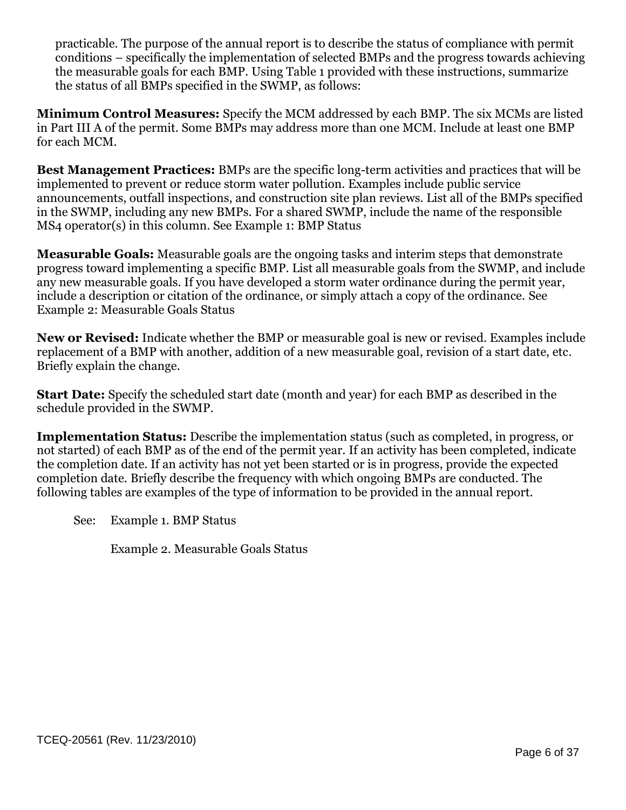practicable. The purpose of the annual report is to describe the status of compliance with permit conditions – specifically the implementation of selected BMPs and the progress towards achieving the measurable goals for each BMP. Using Table 1 provided with these instructions, summarize the status of all BMPs specified in the SWMP, as follows:

**Minimum Control Measures:** Specify the MCM addressed by each BMP. The six MCMs are listed in Part III A of the permit. Some BMPs may address more than one MCM. Include at least one BMP for each MCM.

**Best Management Practices:** BMPs are the specific long-term activities and practices that will be implemented to prevent or reduce storm water pollution. Examples include public service announcements, outfall inspections, and construction site plan reviews. List all of the BMPs specified in the SWMP, including any new BMPs. For a shared SWMP, include the name of the responsible MS4 operator(s) in this column. See Example 1: BMP Status

**Measurable Goals:** Measurable goals are the ongoing tasks and interim steps that demonstrate progress toward implementing a specific BMP. List all measurable goals from the SWMP, and include any new measurable goals. If you have developed a storm water ordinance during the permit year, include a description or citation of the ordinance, or simply attach a copy of the ordinance. See Example 2: Measurable Goals Status

**New or Revised:** Indicate whether the BMP or measurable goal is new or revised. Examples include replacement of a BMP with another, addition of a new measurable goal, revision of a start date, etc. Briefly explain the change.

**Start Date:** Specify the scheduled start date (month and year) for each BMP as described in the schedule provided in the SWMP.

**Implementation Status:** Describe the implementation status (such as completed, in progress, or not started) of each BMP as of the end of the permit year. If an activity has been completed, indicate the completion date. If an activity has not yet been started or is in progress, provide the expected completion date. Briefly describe the frequency with which ongoing BMPs are conducted. The following tables are examples of the type of information to be provided in the annual report.

See: Example 1. BMP Status

Example 2. Measurable Goals Status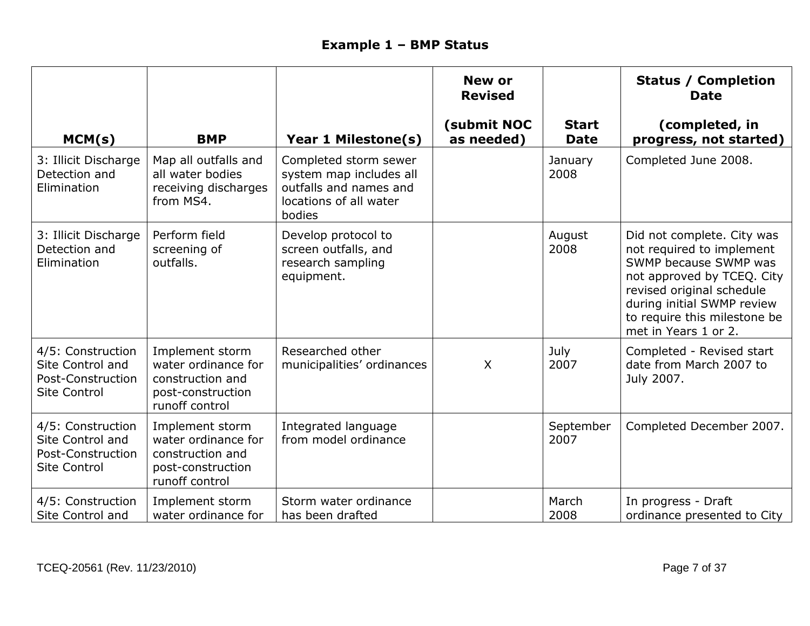# **Example 1 – BMP Status**

|                                                                                   |                                                                                                   |                                                                                                                | <b>New or</b><br><b>Revised</b> |                             | <b>Status / Completion</b><br><b>Date</b>                                                                                                                                                                                         |
|-----------------------------------------------------------------------------------|---------------------------------------------------------------------------------------------------|----------------------------------------------------------------------------------------------------------------|---------------------------------|-----------------------------|-----------------------------------------------------------------------------------------------------------------------------------------------------------------------------------------------------------------------------------|
| MCM(s)                                                                            | <b>BMP</b>                                                                                        | Year 1 Milestone(s)                                                                                            | (submit NOC<br>as needed)       | <b>Start</b><br><b>Date</b> | (completed, in<br>progress, not started)                                                                                                                                                                                          |
| 3: Illicit Discharge<br>Detection and<br>Elimination                              | Map all outfalls and<br>all water bodies<br>receiving discharges<br>from MS4.                     | Completed storm sewer<br>system map includes all<br>outfalls and names and<br>locations of all water<br>bodies |                                 | January<br>2008             | Completed June 2008.                                                                                                                                                                                                              |
| 3: Illicit Discharge<br>Detection and<br>Elimination                              | Perform field<br>screening of<br>outfalls.                                                        | Develop protocol to<br>screen outfalls, and<br>research sampling<br>equipment.                                 |                                 | August<br>2008              | Did not complete. City was<br>not required to implement<br>SWMP because SWMP was<br>not approved by TCEQ. City<br>revised original schedule<br>during initial SWMP review<br>to require this milestone be<br>met in Years 1 or 2. |
| 4/5: Construction<br>Site Control and<br>Post-Construction<br><b>Site Control</b> | Implement storm<br>water ordinance for<br>construction and<br>post-construction<br>runoff control | Researched other<br>municipalities' ordinances                                                                 | $\boldsymbol{\mathsf{X}}$       | July<br>2007                | Completed - Revised start<br>date from March 2007 to<br>July 2007.                                                                                                                                                                |
| 4/5: Construction<br>Site Control and<br>Post-Construction<br><b>Site Control</b> | Implement storm<br>water ordinance for<br>construction and<br>post-construction<br>runoff control | Integrated language<br>from model ordinance                                                                    |                                 | September<br>2007           | Completed December 2007.                                                                                                                                                                                                          |
| 4/5: Construction<br>Site Control and                                             | Implement storm<br>water ordinance for                                                            | Storm water ordinance<br>has been drafted                                                                      |                                 | March<br>2008               | In progress - Draft<br>ordinance presented to City                                                                                                                                                                                |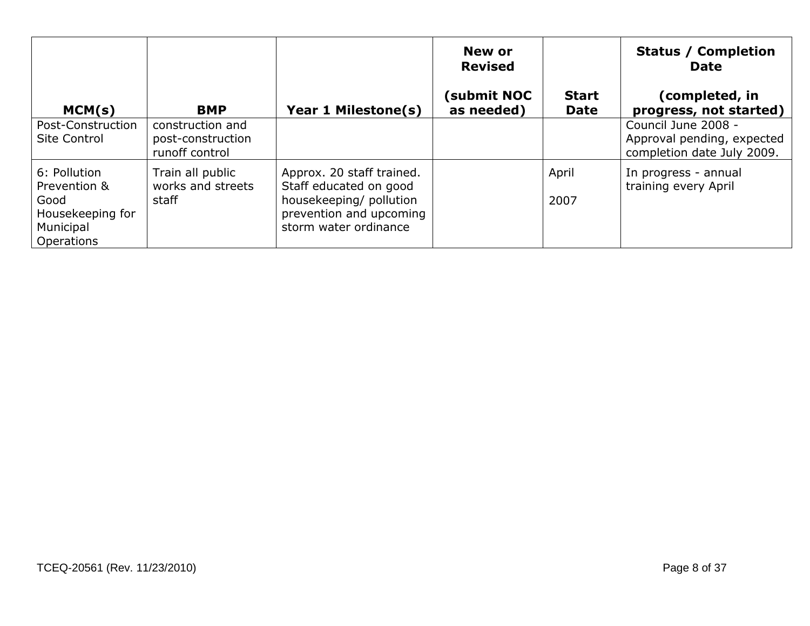|                                                                                     |                                                         |                                                                                                                                    | New or<br><b>Revised</b>  |                             | <b>Status / Completion</b><br><b>Date</b>                                       |
|-------------------------------------------------------------------------------------|---------------------------------------------------------|------------------------------------------------------------------------------------------------------------------------------------|---------------------------|-----------------------------|---------------------------------------------------------------------------------|
| MCM(s)                                                                              | <b>BMP</b>                                              | Year 1 Milestone(s)                                                                                                                | (submit NOC<br>as needed) | <b>Start</b><br><b>Date</b> | (completed, in<br>progress, not started) $ $                                    |
| Post-Construction<br>Site Control                                                   | construction and<br>post-construction<br>runoff control |                                                                                                                                    |                           |                             | Council June 2008 -<br>Approval pending, expected<br>completion date July 2009. |
| 6: Pollution<br>Prevention &<br>Good<br>Housekeeping for<br>Municipal<br>Operations | Train all public<br>works and streets<br>staff          | Approx. 20 staff trained.<br>Staff educated on good<br>housekeeping/ pollution<br>prevention and upcoming<br>storm water ordinance |                           | April<br>2007               | In progress - annual<br>training every April                                    |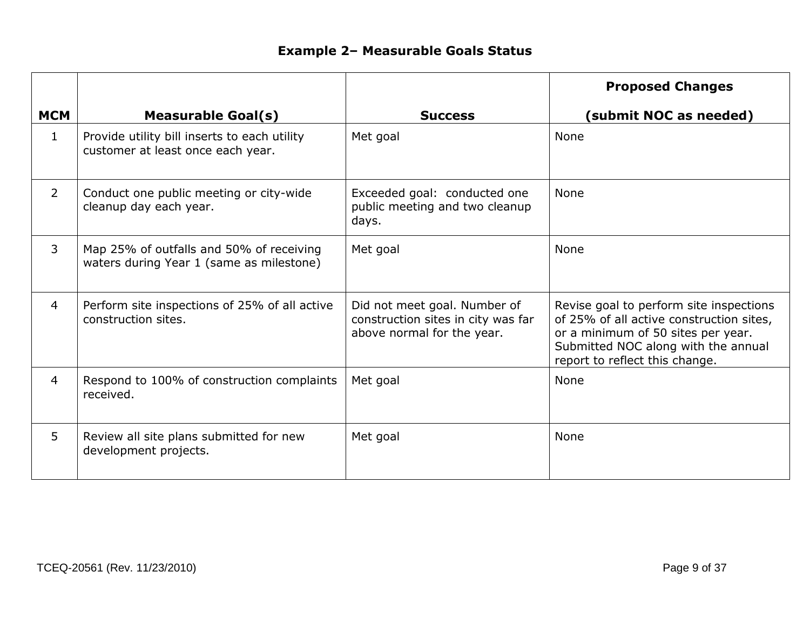## **Example 2– Measurable Goals Status**

|                |                                                                                      |                                                                                                  | <b>Proposed Changes</b>                                                                                                                                                                            |
|----------------|--------------------------------------------------------------------------------------|--------------------------------------------------------------------------------------------------|----------------------------------------------------------------------------------------------------------------------------------------------------------------------------------------------------|
| <b>MCM</b>     | <b>Measurable Goal(s)</b>                                                            | <b>Success</b>                                                                                   | (submit NOC as needed)                                                                                                                                                                             |
| $\mathbf{1}$   | Provide utility bill inserts to each utility<br>customer at least once each year.    | Met goal                                                                                         | <b>None</b>                                                                                                                                                                                        |
| $\overline{2}$ | Conduct one public meeting or city-wide<br>cleanup day each year.                    | Exceeded goal: conducted one<br>public meeting and two cleanup<br>days.                          | <b>None</b>                                                                                                                                                                                        |
| 3              | Map 25% of outfalls and 50% of receiving<br>waters during Year 1 (same as milestone) | Met goal                                                                                         | None                                                                                                                                                                                               |
| 4              | Perform site inspections of 25% of all active<br>construction sites.                 | Did not meet goal. Number of<br>construction sites in city was far<br>above normal for the year. | Revise goal to perform site inspections<br>of 25% of all active construction sites,<br>or a minimum of 50 sites per year.<br>Submitted NOC along with the annual<br>report to reflect this change. |
| $\overline{4}$ | Respond to 100% of construction complaints<br>received.                              | Met goal                                                                                         | <b>None</b>                                                                                                                                                                                        |
| 5              | Review all site plans submitted for new<br>development projects.                     | Met goal                                                                                         | None                                                                                                                                                                                               |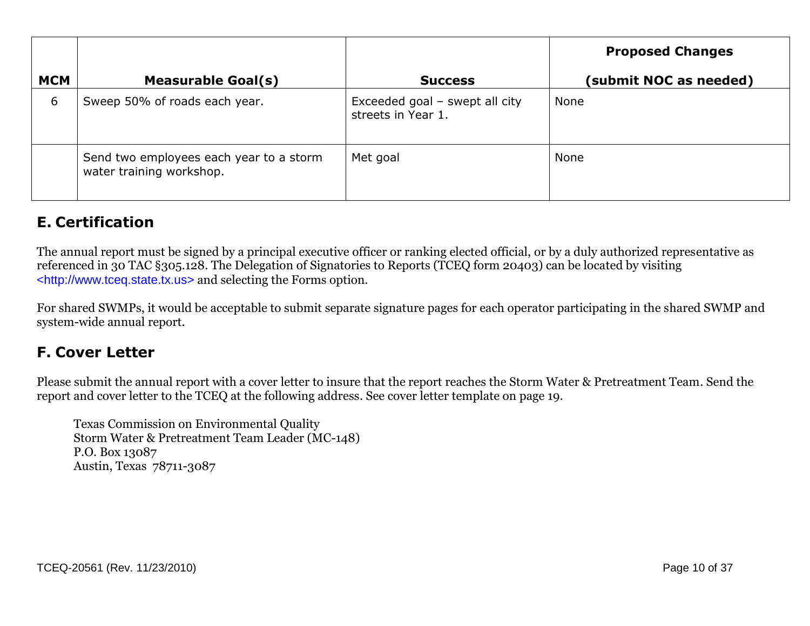|            |                                                                     |                                                      | <b>Proposed Changes</b> |
|------------|---------------------------------------------------------------------|------------------------------------------------------|-------------------------|
| <b>MCM</b> | <b>Measurable Goal(s)</b>                                           | <b>Success</b>                                       | (submit NOC as needed)  |
| 6          | Sweep 50% of roads each year.                                       | Exceeded goal - swept all city<br>streets in Year 1. | None                    |
|            | Send two employees each year to a storm<br>water training workshop. | Met goal                                             | None                    |

# **E. Certification**

The annual report must be signed by a principal executive officer or ranking elected official, or by a duly authorized representative as referenced in 30 TAC §305.128. The Delegation of Signatories to Reports (TCEQ form 20403) can be located by visiting [<http://www.tceq.state.tx.us>](http://www.tceq.state.tx.us/) and selecting the Forms option.

For shared SWMPs, it would be acceptable to submit separate signature pages for each operator participating in the shared SWMP and system-wide annual report.

## **F. Cover Letter**

Please submit the annual report with a cover letter to insure that the report reaches the Storm Water & Pretreatment Team. Send the report and cover letter to the TCEQ at the following address. See cover letter template on page 19.

Texas Commission on Environmental Quality Storm Water & Pretreatment Team Leader (MC-148) P.O. Box 13087 Austin, Texas 78711-3087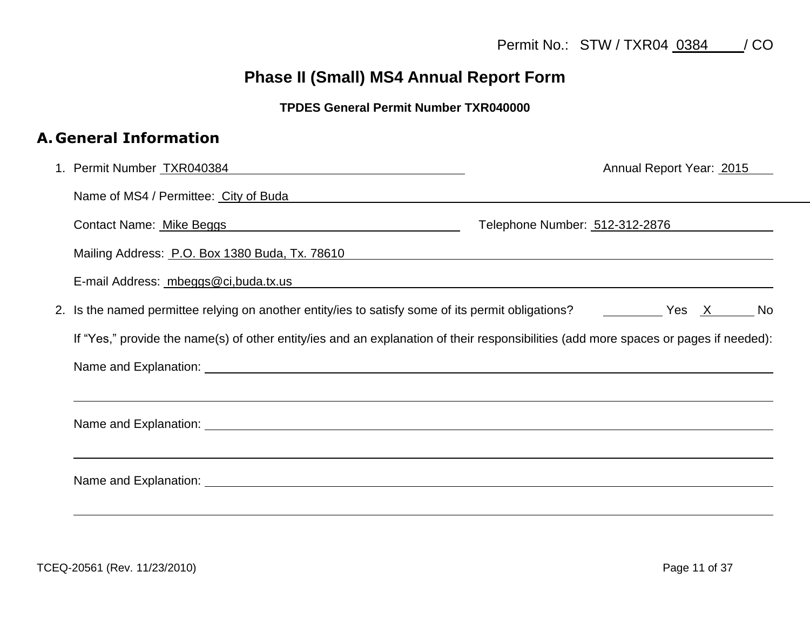# **Phase II (Small) MS4 Annual Report Form**

#### **TPDES General Permit Number TXR040000**

### **A. General Information**

| 1. Permit Number TXR040384 Manual Manual Manual Manual Manual Manual Manual Manual Manual Manual Manual Manual<br>Annual Report Year: 2015                                                                                          |
|-------------------------------------------------------------------------------------------------------------------------------------------------------------------------------------------------------------------------------------|
| Name of MS4 / Permittee: City of Buda Name of MS4 / Permittee:                                                                                                                                                                      |
| Contact Name: Mike Beggs Manual Manual Manual Manual Manual Manual Manual Manual Manual Manual Manual Manual M<br>Telephone Number: 512-312-2876                                                                                    |
| Mailing Address: P.O. Box 1380 Buda, Tx. 78610                                                                                                                                                                                      |
| E-mail Address: mbeggs@ci,buda.tx.us example and a series of the series of the series of the series of the series of the series of the series of the series of the series of the series of the series of the series of the ser      |
| 2. Is the named permittee relying on another entity/ies to satisfy some of its permit obligations? The Messon Messon Mo                                                                                                             |
| If "Yes," provide the name(s) of other entity/ies and an explanation of their responsibilities (add more spaces or pages if needed):                                                                                                |
| Name and Explanation: <u>example and Explanation</u> and the second service of the service of the service of the service of the service of the service of the service of the service of the service of the service of the service o |
| ,我们也不会有什么。""我们的人,我们也不会有什么?""我们的人,我们也不会有什么?""我们的人,我们也不会有什么?""我们的人,我们也不会有什么?""我们的人                                                                                                                                                    |
| Name and Explanation: <u>example and Explanation</u> control and the set of the set of the set of the set of the set of the set of the set of the set of the set of the set of the set of the set of the set of the set of the set  |
| ,我们也不会不会不会。""我们的,我们也不会不会不会不会不会不会不会不会。""我们的,我们也不会不会不会不会不会不会不会不会。""我们的,我们也不会不会不会不会                                                                                                                                                    |
|                                                                                                                                                                                                                                     |
|                                                                                                                                                                                                                                     |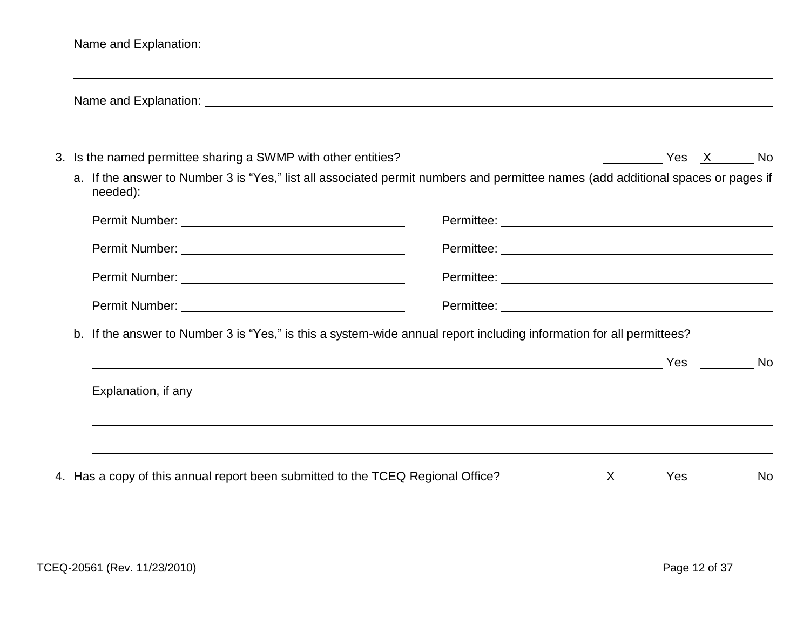|                                                               | Name and Explanation: <u>example and the set of the set of the set of the set of the set of the set of the set of the set of the set of the set of the set of the set of the set of the set of the set of the set of the set of </u> |
|---------------------------------------------------------------|--------------------------------------------------------------------------------------------------------------------------------------------------------------------------------------------------------------------------------------|
| 3. Is the named permittee sharing a SWMP with other entities? |                                                                                                                                                                                                                                      |
| needed):                                                      | a. If the answer to Number 3 is "Yes," list all associated permit numbers and permittee names (add additional spaces or pages if                                                                                                     |
|                                                               | Permittee: <u>www.communities.communities</u>                                                                                                                                                                                        |
|                                                               |                                                                                                                                                                                                                                      |
|                                                               |                                                                                                                                                                                                                                      |
|                                                               |                                                                                                                                                                                                                                      |
|                                                               | b. If the answer to Number 3 is "Yes," is this a system-wide annual report including information for all permittees?                                                                                                                 |
|                                                               |                                                                                                                                                                                                                                      |
|                                                               |                                                                                                                                                                                                                                      |
|                                                               |                                                                                                                                                                                                                                      |

4. Has a copy of this annual report been submitted to the TCEQ Regional Office?  $\frac{X}{X}$   $\frac{X}{X}$  Yes  $\frac{X}{X}$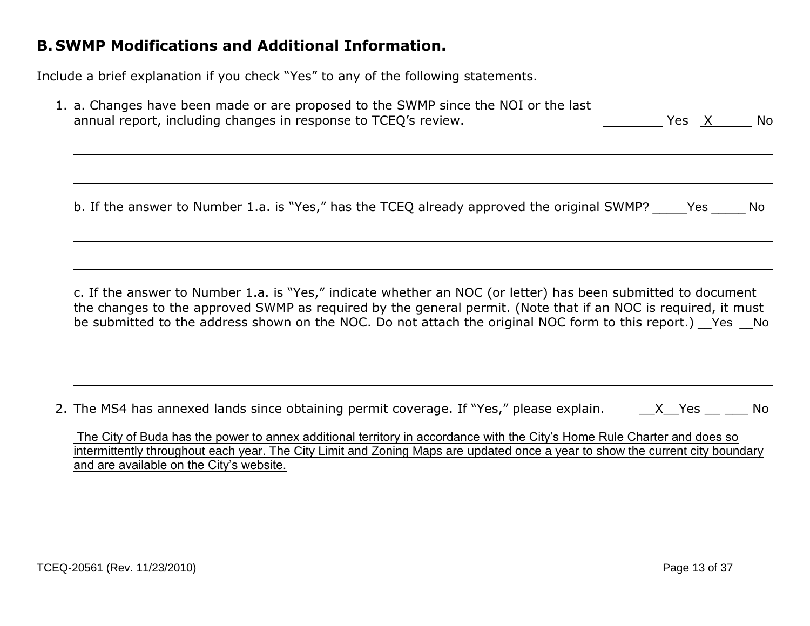#### **B. SWMP Modifications and Additional Information.**

Include a brief explanation if you check "Yes" to any of the following statements.

| 1. a. Changes have been made or are proposed to the SWMP since the NOI or the last |       |       |
|------------------------------------------------------------------------------------|-------|-------|
| annual report, including changes in response to TCEQ's review.                     | Yes X | No No |

b. If the answer to Number 1.a. is "Yes," has the TCEO already approved the original SWMP? Yes No

c. If the answer to Number 1.a. is "Yes," indicate whether an NOC (or letter) has been submitted to document the changes to the approved SWMP as required by the general permit. (Note that if an NOC is required, it must be submitted to the address shown on the NOC. Do not attach the original NOC form to this report.) Yes No

2. The MS4 has annexed lands since obtaining permit coverage. If "Yes," please explain.  $X_{\text{max}} = X - Y$ es \_\_ \_\_\_ No

The City of Buda has the power to annex additional territory in accordance with the City's Home Rule Charter and does so intermittently throughout each year. The City Limit and Zoning Maps are updated once a year to show the current city boundary and are available on the City's website.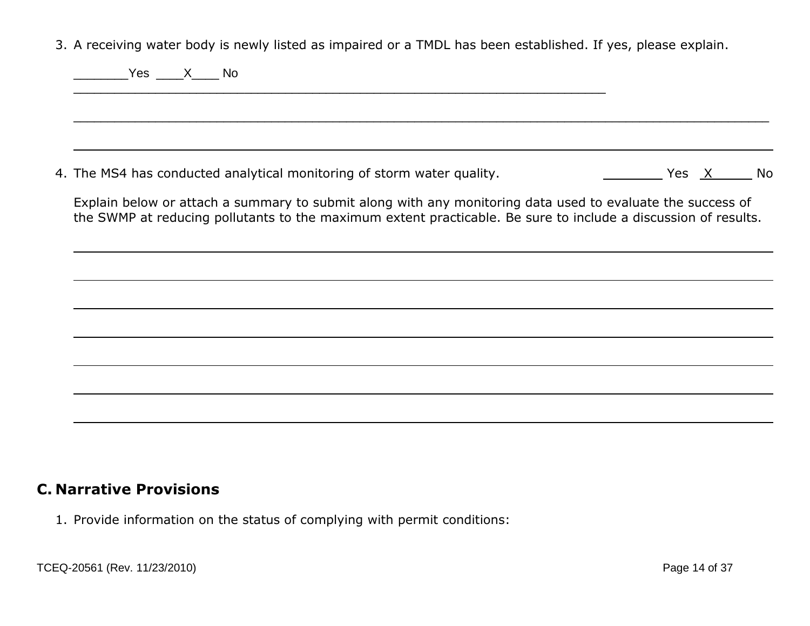3. A receiving water body is newly listed as impaired or a TMDL has been established. If yes, please explain.

| <b>Example Structure Structure Structure Structure Structure Structure Structure Structure Structure Structure Structure Structure Structure Structure Structure Structure Structure Structure Structure Structure Structure Str</b> |
|--------------------------------------------------------------------------------------------------------------------------------------------------------------------------------------------------------------------------------------|
|                                                                                                                                                                                                                                      |
| 4. The MS4 has conducted analytical monitoring of storm water quality.                                                                                                                                                               |
| Explain below or attach a summary to submit along with any monitoring data used to evaluate the success of<br>the SWMP at reducing pollutants to the maximum extent practicable. Be sure to include a discussion of results.         |
|                                                                                                                                                                                                                                      |
|                                                                                                                                                                                                                                      |
|                                                                                                                                                                                                                                      |
|                                                                                                                                                                                                                                      |

### **C. Narrative Provisions**

1. Provide information on the status of complying with permit conditions: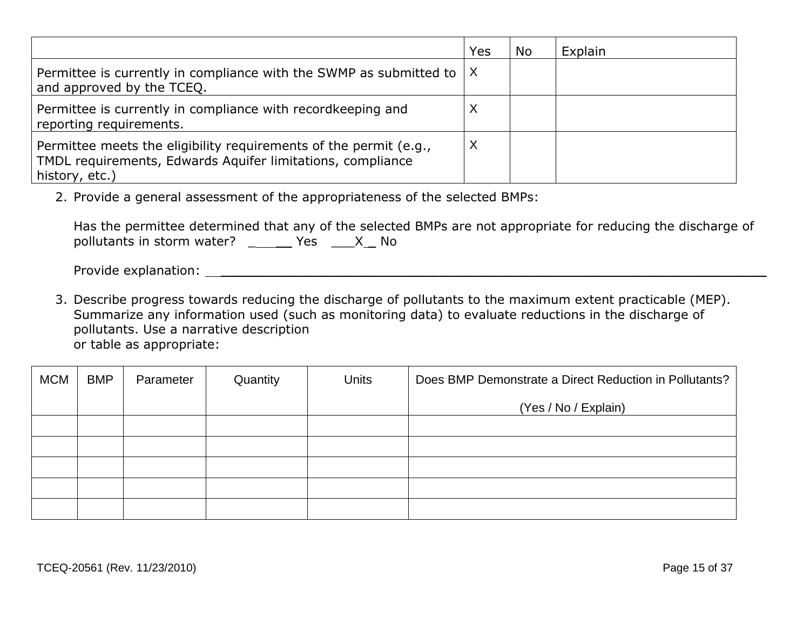|                                                                                                                                                   | Yes | No | Explain |
|---------------------------------------------------------------------------------------------------------------------------------------------------|-----|----|---------|
| Permittee is currently in compliance with the SWMP as submitted to $ X $<br>and approved by the TCEQ.                                             |     |    |         |
| Permittee is currently in compliance with record keeping and<br>reporting requirements.                                                           |     |    |         |
| Permittee meets the eligibility requirements of the permit (e.g.,<br>TMDL requirements, Edwards Aquifer limitations, compliance<br>history, etc.) |     |    |         |

2. Provide a general assessment of the appropriateness of the selected BMPs:

|                                     |  |  | Has the permittee determined that any of the selected BMPs are not appropriate for reducing the discharge of |
|-------------------------------------|--|--|--------------------------------------------------------------------------------------------------------------|
| pollutants in storm water? Yes X No |  |  |                                                                                                              |

Provide explanation: \_\_\_\_\_\_\_\_\_\_\_\_\_\_\_\_\_\_\_\_\_\_\_\_\_\_\_\_\_\_\_\_\_\_\_\_\_\_\_\_\_\_\_\_\_\_\_\_\_\_\_\_\_\_\_\_\_\_\_\_\_\_\_\_\_\_\_\_\_\_

3. Describe progress towards reducing the discharge of pollutants to the maximum extent practicable (MEP). Summarize any information used (such as monitoring data) to evaluate reductions in the discharge of pollutants. Use a narrative description or table as appropriate:

| <b>MCM</b> | <b>BMP</b> | Parameter | Quantity | <b>Units</b> | Does BMP Demonstrate a Direct Reduction in Pollutants? |
|------------|------------|-----------|----------|--------------|--------------------------------------------------------|
|            |            |           |          |              | (Yes / No / Explain)                                   |
|            |            |           |          |              |                                                        |
|            |            |           |          |              |                                                        |
|            |            |           |          |              |                                                        |
|            |            |           |          |              |                                                        |
|            |            |           |          |              |                                                        |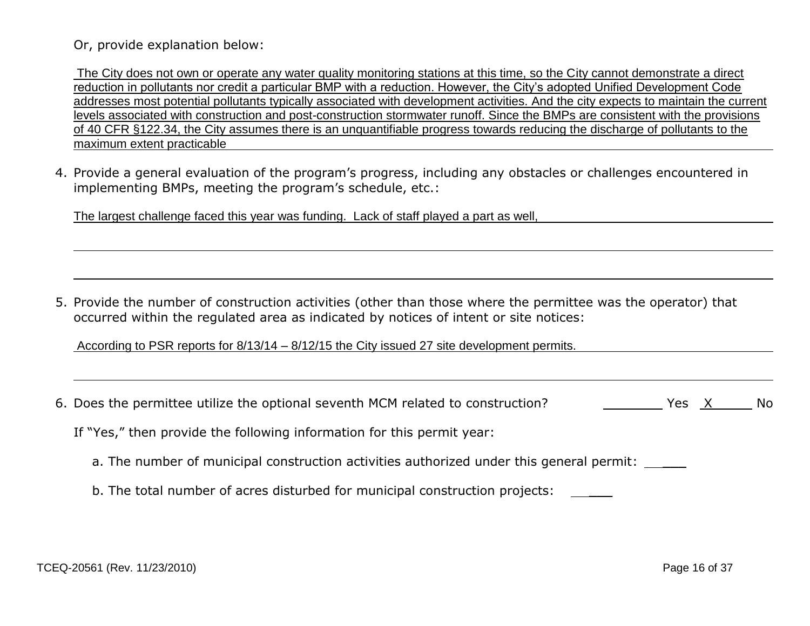#### Or, provide explanation below:

The City does not own or operate any water quality monitoring stations at this time, so the City cannot demonstrate a direct reduction in pollutants nor credit a particular BMP with a reduction. However, the City's adopted Unified Development Code addresses most potential pollutants typically associated with development activities. And the city expects to maintain the current levels associated with construction and post-construction stormwater runoff. Since the BMPs are consistent with the provisions of 40 CFR §122.34, the City assumes there is an unquantifiable progress towards reducing the discharge of pollutants to the maximum extent practicable

4. Provide a general evaluation of the program's progress, including any obstacles or challenges encountered in implementing BMPs, meeting the program's schedule, etc.:

The largest challenge faced this year was funding. Lack of staff played a part as well,

5. Provide the number of construction activities (other than those where the permittee was the operator) that occurred within the regulated area as indicated by notices of intent or site notices:

According to PSR reports for 8/13/14 – 8/12/15 the City issued 27 site development permits.

|  |  |  | 6. Does the permittee utilize the optional seventh MCM related to construction? | Yes X |  | No |
|--|--|--|---------------------------------------------------------------------------------|-------|--|----|
|--|--|--|---------------------------------------------------------------------------------|-------|--|----|

If "Yes," then provide the following information for this permit year:

- a. The number of municipal construction activities authorized under this general permit:
- b. The total number of acres disturbed for municipal construction projects: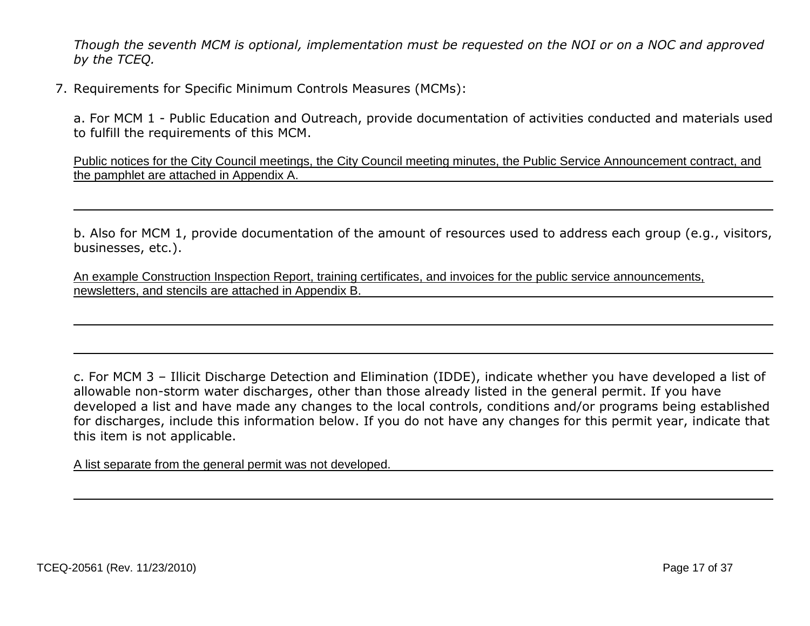*Though the seventh MCM is optional, implementation must be requested on the NOI or on a NOC and approved by the TCEQ.*

7. Requirements for Specific Minimum Controls Measures (MCMs):

a. For MCM 1 - Public Education and Outreach, provide documentation of activities conducted and materials used to fulfill the requirements of this MCM.

Public notices for the City Council meetings, the City Council meeting minutes, the Public Service Announcement contract, and the pamphlet are attached in Appendix A.

b. Also for MCM 1, provide documentation of the amount of resources used to address each group (e.g., visitors, businesses, etc.).

An example Construction Inspection Report, training certificates, and invoices for the public service announcements, newsletters, and stencils are attached in Appendix B.

c. For MCM 3 – Illicit Discharge Detection and Elimination (IDDE), indicate whether you have developed a list of allowable non-storm water discharges, other than those already listed in the general permit. If you have developed a list and have made any changes to the local controls, conditions and/or programs being established for discharges, include this information below. If you do not have any changes for this permit year, indicate that this item is not applicable.

A list separate from the general permit was not developed.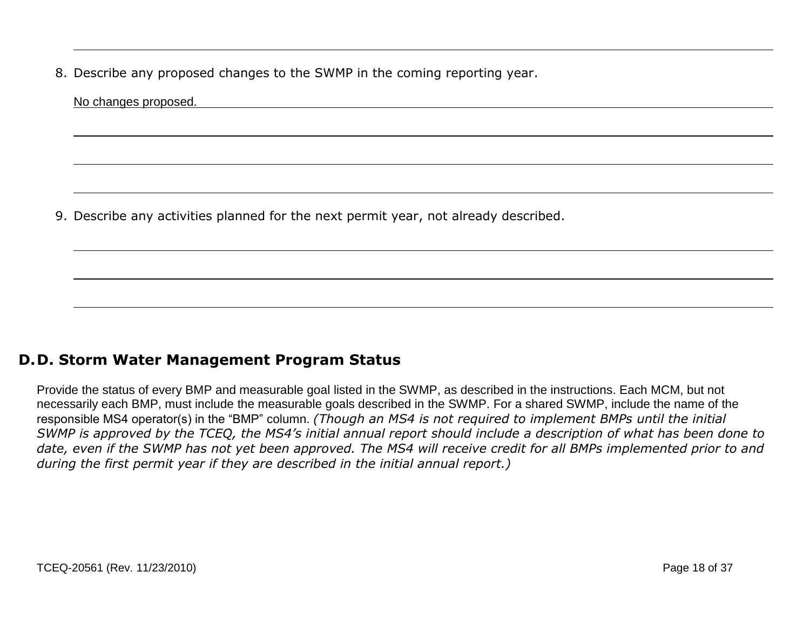8. Describe any proposed changes to the SWMP in the coming reporting year.

| No changes proposed. |                                                                                     |  |  |
|----------------------|-------------------------------------------------------------------------------------|--|--|
|                      |                                                                                     |  |  |
|                      |                                                                                     |  |  |
|                      |                                                                                     |  |  |
|                      | 9. Describe any activities planned for the next permit year, not already described. |  |  |

### **D.D. Storm Water Management Program Status**

Provide the status of every BMP and measurable goal listed in the SWMP, as described in the instructions. Each MCM, but not necessarily each BMP, must include the measurable goals described in the SWMP. For a shared SWMP, include the name of the responsible MS4 operator(s) in the "BMP" column. *(Though an MS4 is not required to implement BMPs until the initial SWMP is approved by the TCEQ, the MS4's initial annual report should include a description of what has been done to*  date, even if the SWMP has not yet been approved. The MS4 will receive credit for all BMPs implemented prior to and *during the first permit year if they are described in the initial annual report.)*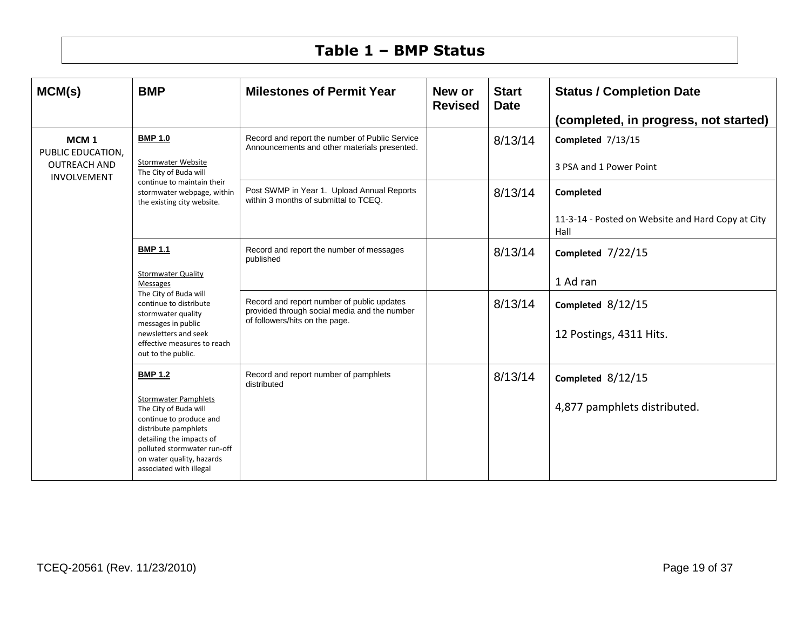## **Table 1 – BMP Status**

| MCM(s)                                | <b>BMP</b>                                                                                                                                                                                                                 | <b>Milestones of Permit Year</b>                                                                                             | New or<br><b>Revised</b> | <b>Start</b><br><b>Date</b> | <b>Status / Completion Date</b>                           |
|---------------------------------------|----------------------------------------------------------------------------------------------------------------------------------------------------------------------------------------------------------------------------|------------------------------------------------------------------------------------------------------------------------------|--------------------------|-----------------------------|-----------------------------------------------------------|
|                                       |                                                                                                                                                                                                                            |                                                                                                                              |                          |                             | (completed, in progress, not started)                     |
| MCM <sub>1</sub><br>PUBLIC EDUCATION. | <b>BMP 1.0</b>                                                                                                                                                                                                             | Record and report the number of Public Service<br>Announcements and other materials presented.                               |                          | 8/13/14                     | Completed 7/13/15                                         |
| <b>OUTREACH AND</b><br>INVOLVEMENT    | <b>Stormwater Website</b><br>The City of Buda will                                                                                                                                                                         |                                                                                                                              |                          |                             | 3 PSA and 1 Power Point                                   |
|                                       | continue to maintain their<br>stormwater webpage, within<br>the existing city website.                                                                                                                                     | Post SWMP in Year 1. Upload Annual Reports<br>within 3 months of submittal to TCEQ.                                          |                          | 8/13/14                     | Completed                                                 |
|                                       |                                                                                                                                                                                                                            |                                                                                                                              |                          |                             | 11-3-14 - Posted on Website and Hard Copy at City<br>Hall |
|                                       | <b>BMP 1.1</b>                                                                                                                                                                                                             | Record and report the number of messages<br>published                                                                        |                          | 8/13/14                     | Completed $7/22/15$                                       |
|                                       | <b>Stormwater Quality</b><br><b>Messages</b><br>The City of Buda will<br>continue to distribute<br>stormwater quality                                                                                                      |                                                                                                                              |                          |                             | 1 Ad ran                                                  |
|                                       |                                                                                                                                                                                                                            | Record and report number of public updates<br>provided through social media and the number<br>of followers/hits on the page. |                          | 8/13/14                     | Completed $8/12/15$                                       |
|                                       | messages in public<br>newsletters and seek<br>effective measures to reach<br>out to the public.                                                                                                                            |                                                                                                                              |                          |                             | 12 Postings, 4311 Hits.                                   |
|                                       | <b>BMP 1.2</b>                                                                                                                                                                                                             | Record and report number of pamphlets<br>distributed                                                                         |                          | 8/13/14                     | Completed $8/12/15$                                       |
|                                       | <b>Stormwater Pamphlets</b><br>The City of Buda will<br>continue to produce and<br>distribute pamphlets<br>detailing the impacts of<br>polluted stormwater run-off<br>on water quality, hazards<br>associated with illegal |                                                                                                                              |                          |                             | 4,877 pamphlets distributed.                              |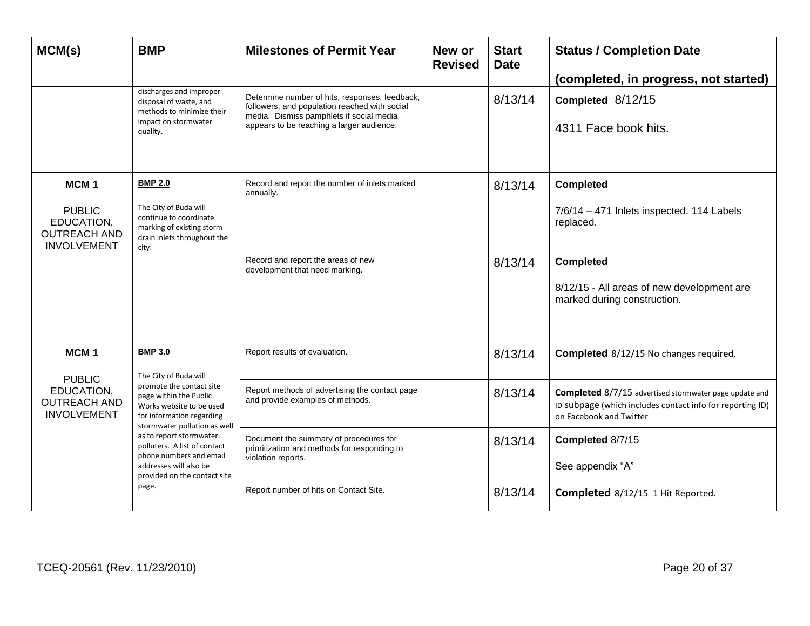| MCM(s)                                                                                       | <b>BMP</b>                                                                                                                                                                                                                                                                                  | <b>Milestones of Permit Year</b>                                                                                                                                                         | New or<br><b>Revised</b> | <b>Start</b><br><b>Date</b> | <b>Status / Completion Date</b><br>(completed, in progress, not started)                                                                       |
|----------------------------------------------------------------------------------------------|---------------------------------------------------------------------------------------------------------------------------------------------------------------------------------------------------------------------------------------------------------------------------------------------|------------------------------------------------------------------------------------------------------------------------------------------------------------------------------------------|--------------------------|-----------------------------|------------------------------------------------------------------------------------------------------------------------------------------------|
|                                                                                              | discharges and improper<br>disposal of waste, and<br>methods to minimize their<br>impact on stormwater<br>quality.                                                                                                                                                                          | Determine number of hits, responses, feedback,<br>followers, and population reached with social<br>media. Dismiss pamphlets if social media<br>appears to be reaching a larger audience. |                          | 8/13/14                     | Completed 8/12/15<br>4311 Face book hits.                                                                                                      |
| MCM <sub>1</sub><br><b>PUBLIC</b><br>EDUCATION,<br><b>OUTREACH AND</b><br><b>INVOLVEMENT</b> | <b>BMP 2.0</b><br>The City of Buda will<br>continue to coordinate<br>marking of existing storm<br>drain inlets throughout the<br>city.                                                                                                                                                      | Record and report the number of inlets marked<br>annually.                                                                                                                               |                          | 8/13/14                     | <b>Completed</b><br>7/6/14 - 471 Inlets inspected. 114 Labels<br>replaced.                                                                     |
|                                                                                              |                                                                                                                                                                                                                                                                                             | Record and report the areas of new<br>development that need marking.                                                                                                                     |                          | 8/13/14                     | <b>Completed</b><br>8/12/15 - All areas of new development are<br>marked during construction.                                                  |
| MCM <sub>1</sub><br><b>PUBLIC</b>                                                            | <b>BMP 3.0</b><br>The City of Buda will                                                                                                                                                                                                                                                     | Report results of evaluation.                                                                                                                                                            |                          | 8/13/14                     | <b>Completed</b> 8/12/15 No changes required.                                                                                                  |
| EDUCATION,<br><b>OUTREACH AND</b><br><b>INVOLVEMENT</b>                                      | promote the contact site<br>page within the Public<br>Works website to be used<br>for information regarding<br>stormwater pollution as well<br>as to report stormwater<br>polluters. A list of contact<br>phone numbers and email<br>addresses will also be<br>provided on the contact site | Report methods of advertising the contact page<br>and provide examples of methods.                                                                                                       |                          | 8/13/14                     | Completed 8/7/15 advertised stormwater page update and<br>ID subpage (which includes contact info for reporting ID)<br>on Facebook and Twitter |
|                                                                                              |                                                                                                                                                                                                                                                                                             | Document the summary of procedures for<br>prioritization and methods for responding to<br>violation reports.                                                                             |                          | 8/13/14                     | Completed 8/7/15<br>See appendix "A"                                                                                                           |
|                                                                                              | page.                                                                                                                                                                                                                                                                                       | Report number of hits on Contact Site.                                                                                                                                                   |                          | 8/13/14                     | <b>Completed</b> 8/12/15 1 Hit Reported.                                                                                                       |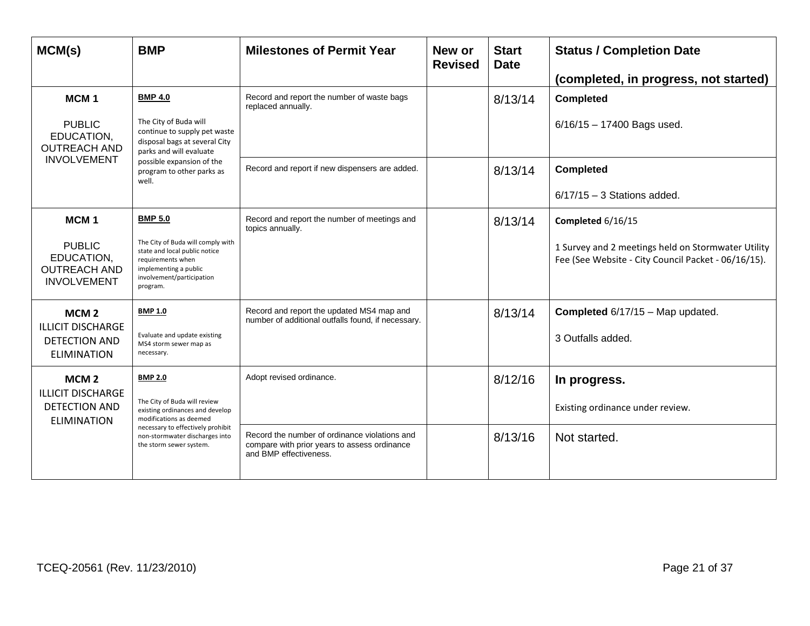| MCM(s)                                                                                       | <b>BMP</b>                                                                                                                                                                  | <b>Milestones of Permit Year</b>                                                                                        | New or<br><b>Revised</b> | <b>Start</b><br><b>Date</b> | <b>Status / Completion Date</b><br>(completed, in progress, not started)                                                       |
|----------------------------------------------------------------------------------------------|-----------------------------------------------------------------------------------------------------------------------------------------------------------------------------|-------------------------------------------------------------------------------------------------------------------------|--------------------------|-----------------------------|--------------------------------------------------------------------------------------------------------------------------------|
| MCM <sub>1</sub><br><b>PUBLIC</b><br>EDUCATION,<br><b>OUTREACH AND</b>                       | <b>BMP 4.0</b><br>The City of Buda will<br>continue to supply pet waste<br>disposal bags at several City<br>parks and will evaluate                                         | Record and report the number of waste bags<br>replaced annually.                                                        |                          | 8/13/14                     | <b>Completed</b><br>$6/16/15 - 17400$ Bags used.                                                                               |
| <b>INVOLVEMENT</b>                                                                           | possible expansion of the<br>program to other parks as<br>well.                                                                                                             | Record and report if new dispensers are added.                                                                          |                          | 8/13/14                     | <b>Completed</b><br>$6/17/15 - 3$ Stations added.                                                                              |
| MCM <sub>1</sub><br><b>PUBLIC</b><br>EDUCATION,<br><b>OUTREACH AND</b><br><b>INVOLVEMENT</b> | <b>BMP 5.0</b><br>The City of Buda will comply with<br>state and local public notice<br>requirements when<br>implementing a public<br>involvement/participation<br>program. | Record and report the number of meetings and<br>topics annually.                                                        |                          | 8/13/14                     | Completed 6/16/15<br>1 Survey and 2 meetings held on Stormwater Utility<br>Fee (See Website - City Council Packet - 06/16/15). |
| MCM <sub>2</sub><br><b>ILLICIT DISCHARGE</b><br><b>DETECTION AND</b><br><b>ELIMINATION</b>   | <b>BMP 1.0</b><br>Evaluate and update existing<br>MS4 storm sewer map as<br>necessary.                                                                                      | Record and report the updated MS4 map and<br>number of additional outfalls found, if necessary.                         |                          | 8/13/14                     | Completed 6/17/15 - Map updated.<br>3 Outfalls added.                                                                          |
| MCM <sub>2</sub><br><b>ILLICIT DISCHARGE</b><br><b>DETECTION AND</b><br><b>ELIMINATION</b>   | <b>BMP 2.0</b><br>The City of Buda will review<br>existing ordinances and develop<br>modifications as deemed                                                                | Adopt revised ordinance.                                                                                                |                          | 8/12/16                     | In progress.<br>Existing ordinance under review.                                                                               |
|                                                                                              | necessary to effectively prohibit<br>non-stormwater discharges into<br>the storm sewer system.                                                                              | Record the number of ordinance violations and<br>compare with prior years to assess ordinance<br>and BMP effectiveness. |                          | 8/13/16                     | Not started.                                                                                                                   |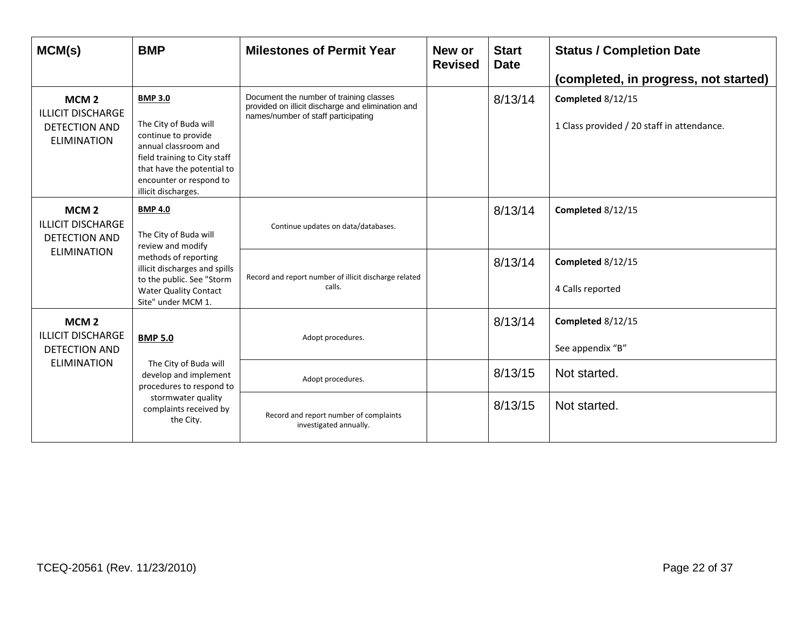| MCM(s)                                                                                     | <b>BMP</b>                                                                                                                                                                                             | <b>Milestones of Permit Year</b>                                                                                                    | New or<br><b>Revised</b>                                        | <b>Start</b><br><b>Date</b> | <b>Status / Completion Date</b><br>(completed, in progress, not started) |
|--------------------------------------------------------------------------------------------|--------------------------------------------------------------------------------------------------------------------------------------------------------------------------------------------------------|-------------------------------------------------------------------------------------------------------------------------------------|-----------------------------------------------------------------|-----------------------------|--------------------------------------------------------------------------|
| MCM <sub>2</sub><br><b>ILLICIT DISCHARGE</b><br><b>DETECTION AND</b><br><b>ELIMINATION</b> | <b>BMP 3.0</b><br>The City of Buda will<br>continue to provide<br>annual classroom and<br>field training to City staff<br>that have the potential to<br>encounter or respond to<br>illicit discharges. | Document the number of training classes<br>provided on illicit discharge and elimination and<br>names/number of staff participating |                                                                 | 8/13/14                     | Completed 8/12/15<br>1 Class provided / 20 staff in attendance.          |
| MCM <sub>2</sub><br><b>ILLICIT DISCHARGE</b><br><b>DETECTION AND</b>                       | <b>BMP 4.0</b><br>The City of Buda will<br>review and modify<br>methods of reporting<br>illicit discharges and spills<br>to the public. See "Storm<br><b>Water Quality Contact</b>                     | Continue updates on data/databases.                                                                                                 |                                                                 | 8/13/14                     | Completed 8/12/15                                                        |
|                                                                                            |                                                                                                                                                                                                        | <b>ELIMINATION</b><br>Site" under MCM 1.                                                                                            | Record and report number of illicit discharge related<br>calls. |                             | 8/13/14                                                                  |
| MCM <sub>2</sub><br><b>ILLICIT DISCHARGE</b><br>DETECTION AND                              | <b>BMP 5.0</b>                                                                                                                                                                                         | Adopt procedures.                                                                                                                   |                                                                 | 8/13/14                     | Completed 8/12/15<br>See appendix "B"                                    |
| <b>ELIMINATION</b>                                                                         | The City of Buda will<br>develop and implement<br>procedures to respond to                                                                                                                             | Adopt procedures.                                                                                                                   |                                                                 | 8/13/15                     | Not started.                                                             |
|                                                                                            | stormwater quality<br>complaints received by<br>the City.                                                                                                                                              | Record and report number of complaints<br>investigated annually.                                                                    |                                                                 | 8/13/15                     | Not started.                                                             |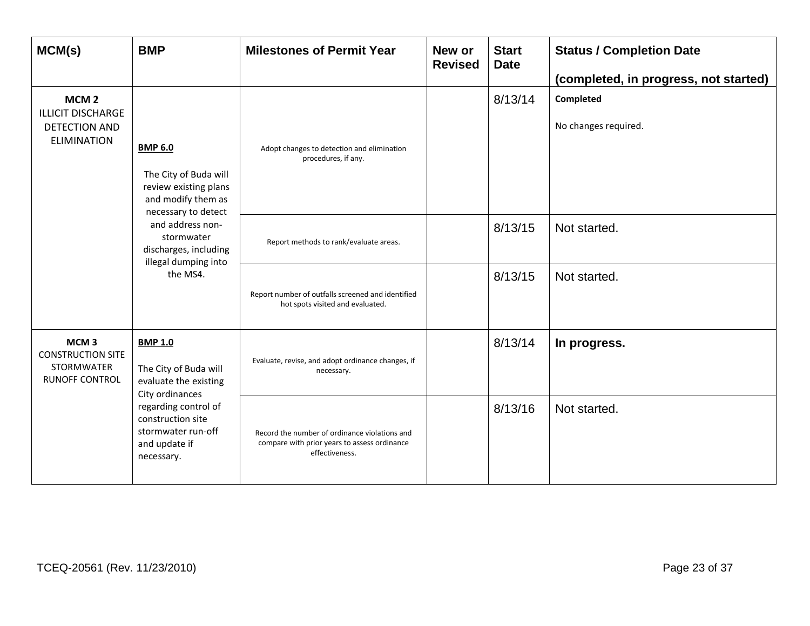| MCM(s)                                                                                     | <b>BMP</b>                                                                                                    | <b>Milestones of Permit Year</b>                                                                                | New or<br><b>Revised</b> | <b>Start</b><br><b>Date</b> | <b>Status / Completion Date</b><br>(completed, in progress, not started) |
|--------------------------------------------------------------------------------------------|---------------------------------------------------------------------------------------------------------------|-----------------------------------------------------------------------------------------------------------------|--------------------------|-----------------------------|--------------------------------------------------------------------------|
| MCM <sub>2</sub><br><b>ILLICIT DISCHARGE</b><br>DETECTION AND<br><b>ELIMINATION</b>        | <b>BMP 6.0</b><br>The City of Buda will<br>review existing plans<br>and modify them as<br>necessary to detect | Adopt changes to detection and elimination<br>procedures, if any.                                               |                          | 8/13/14                     | Completed<br>No changes required.                                        |
|                                                                                            | and address non-<br>stormwater<br>discharges, including<br>illegal dumping into<br>the MS4.                   | Report methods to rank/evaluate areas.                                                                          |                          | 8/13/15                     | Not started.                                                             |
|                                                                                            |                                                                                                               | Report number of outfalls screened and identified<br>hot spots visited and evaluated.                           |                          | 8/13/15                     | Not started.                                                             |
| MCM <sub>3</sub><br><b>CONSTRUCTION SITE</b><br><b>STORMWATER</b><br><b>RUNOFF CONTROL</b> | <b>BMP 1.0</b><br>The City of Buda will<br>evaluate the existing<br>City ordinances                           | Evaluate, revise, and adopt ordinance changes, if<br>necessary.                                                 |                          | 8/13/14                     | In progress.                                                             |
|                                                                                            | regarding control of<br>construction site<br>stormwater run-off<br>and update if<br>necessary.                | Record the number of ordinance violations and<br>compare with prior years to assess ordinance<br>effectiveness. |                          | 8/13/16                     | Not started.                                                             |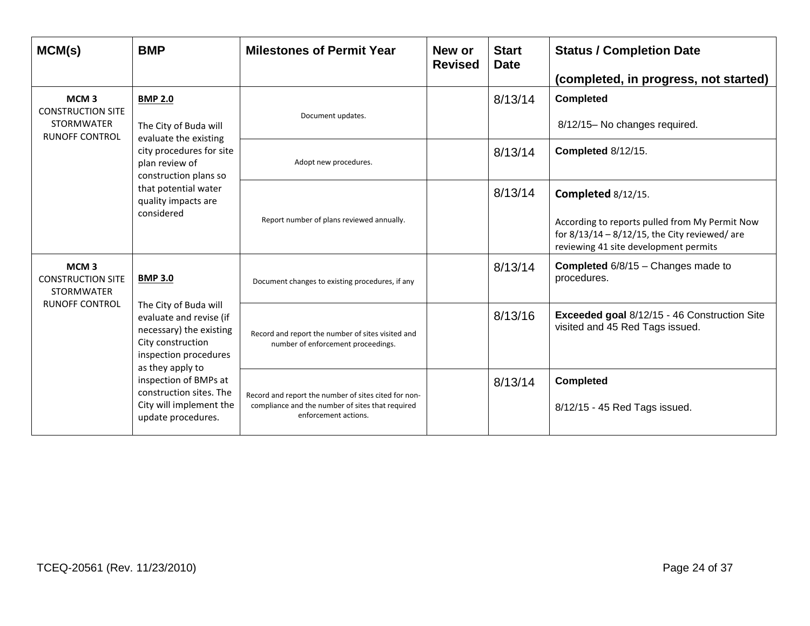| MCM(s)                                                                                     | <b>BMP</b>                                                                                                                                                                                                                                                           | <b>Milestones of Permit Year</b>                                                                                                 | New or<br><b>Revised</b> | <b>Start</b><br><b>Date</b> | <b>Status / Completion Date</b><br>(completed, in progress, not started)                                                                                          |
|--------------------------------------------------------------------------------------------|----------------------------------------------------------------------------------------------------------------------------------------------------------------------------------------------------------------------------------------------------------------------|----------------------------------------------------------------------------------------------------------------------------------|--------------------------|-----------------------------|-------------------------------------------------------------------------------------------------------------------------------------------------------------------|
| MCM <sub>3</sub><br><b>CONSTRUCTION SITE</b><br><b>STORMWATER</b><br><b>RUNOFF CONTROL</b> | <b>BMP 2.0</b><br>The City of Buda will<br>evaluate the existing<br>city procedures for site<br>plan review of<br>construction plans so<br>that potential water<br>quality impacts are<br>considered                                                                 | Document updates.                                                                                                                |                          | 8/13/14                     | <b>Completed</b><br>8/12/15- No changes required.                                                                                                                 |
|                                                                                            |                                                                                                                                                                                                                                                                      | Adopt new procedures.                                                                                                            |                          | 8/13/14                     | Completed 8/12/15.                                                                                                                                                |
|                                                                                            |                                                                                                                                                                                                                                                                      | Report number of plans reviewed annually.                                                                                        |                          | 8/13/14                     | Completed 8/12/15.<br>According to reports pulled from My Permit Now<br>for $8/13/14 - 8/12/15$ , the City reviewed/ are<br>reviewing 41 site development permits |
| MCM <sub>3</sub><br><b>CONSTRUCTION SITE</b><br><b>STORMWATER</b>                          | <b>BMP 3.0</b><br>The City of Buda will<br>evaluate and revise (if<br>necessary) the existing<br>City construction<br>inspection procedures<br>as they apply to<br>inspection of BMPs at<br>construction sites. The<br>City will implement the<br>update procedures. | Document changes to existing procedures, if any                                                                                  |                          | 8/13/14                     | <b>Completed</b> 6/8/15 - Changes made to<br>procedures.                                                                                                          |
| <b>RUNOFF CONTROL</b>                                                                      |                                                                                                                                                                                                                                                                      | Record and report the number of sites visited and<br>number of enforcement proceedings.                                          |                          | 8/13/16                     | Exceeded goal 8/12/15 - 46 Construction Site<br>visited and 45 Red Tags issued.                                                                                   |
|                                                                                            |                                                                                                                                                                                                                                                                      | Record and report the number of sites cited for non-<br>compliance and the number of sites that required<br>enforcement actions. |                          | 8/13/14                     | <b>Completed</b><br>8/12/15 - 45 Red Tags issued.                                                                                                                 |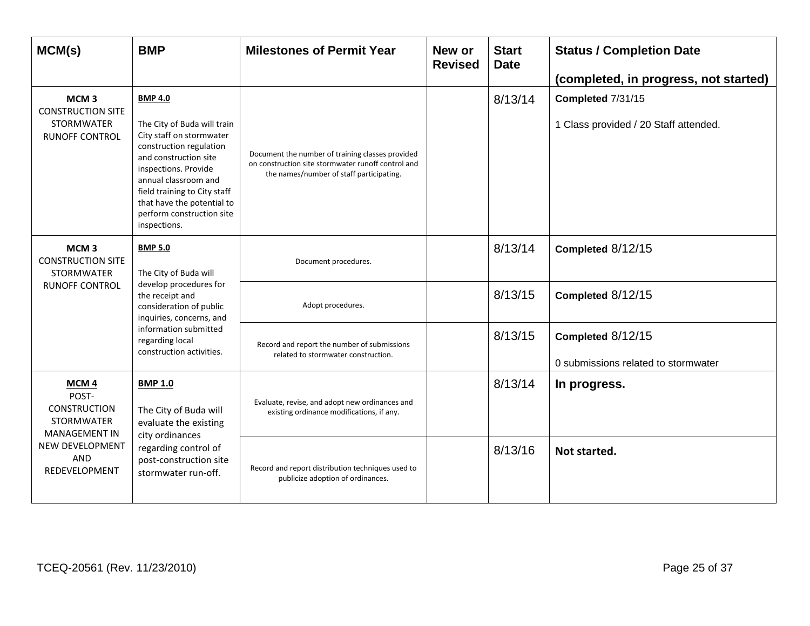| MCM(s)                                                                                     | <b>BMP</b>                                                                                                                                                                                                                                                                               | <b>Milestones of Permit Year</b>                                                                                                                   | New or<br><b>Revised</b> | <b>Start</b><br><b>Date</b> | <b>Status / Completion Date</b><br>(completed, in progress, not started) |
|--------------------------------------------------------------------------------------------|------------------------------------------------------------------------------------------------------------------------------------------------------------------------------------------------------------------------------------------------------------------------------------------|----------------------------------------------------------------------------------------------------------------------------------------------------|--------------------------|-----------------------------|--------------------------------------------------------------------------|
| MCM <sub>3</sub><br><b>CONSTRUCTION SITE</b><br><b>STORMWATER</b><br><b>RUNOFF CONTROL</b> | <b>BMP 4.0</b><br>The City of Buda will train<br>City staff on stormwater<br>construction regulation<br>and construction site<br>inspections. Provide<br>annual classroom and<br>field training to City staff<br>that have the potential to<br>perform construction site<br>inspections. | Document the number of training classes provided<br>on construction site stormwater runoff control and<br>the names/number of staff participating. |                          | 8/13/14                     | Completed 7/31/15<br>1 Class provided / 20 Staff attended.               |
| MCM <sub>3</sub><br><b>CONSTRUCTION SITE</b><br><b>STORMWATER</b>                          | <b>BMP 5.0</b><br>The City of Buda will<br>develop procedures for<br>the receipt and<br>consideration of public<br>inquiries, concerns, and<br>information submitted<br>regarding local<br>construction activities.                                                                      | Document procedures.                                                                                                                               |                          | 8/13/14                     | Completed 8/12/15                                                        |
| <b>RUNOFF CONTROL</b>                                                                      |                                                                                                                                                                                                                                                                                          | Adopt procedures.                                                                                                                                  |                          | 8/13/15                     | Completed 8/12/15                                                        |
|                                                                                            |                                                                                                                                                                                                                                                                                          | Record and report the number of submissions<br>related to stormwater construction.                                                                 |                          | 8/13/15                     | Completed 8/12/15<br>0 submissions related to stormwater                 |
| MCM <sub>4</sub><br>POST-<br><b>CONSTRUCTION</b><br>STORMWATER<br><b>MANAGEMENT IN</b>     | <b>BMP 1.0</b><br>The City of Buda will<br>evaluate the existing<br>city ordinances<br>regarding control of<br>post-construction site<br>stormwater run-off.                                                                                                                             | Evaluate, revise, and adopt new ordinances and<br>existing ordinance modifications, if any.                                                        |                          | 8/13/14                     | In progress.                                                             |
| <b>NEW DEVELOPMENT</b><br>AND<br>REDEVELOPMENT                                             |                                                                                                                                                                                                                                                                                          | Record and report distribution techniques used to<br>publicize adoption of ordinances.                                                             |                          | 8/13/16                     | Not started.                                                             |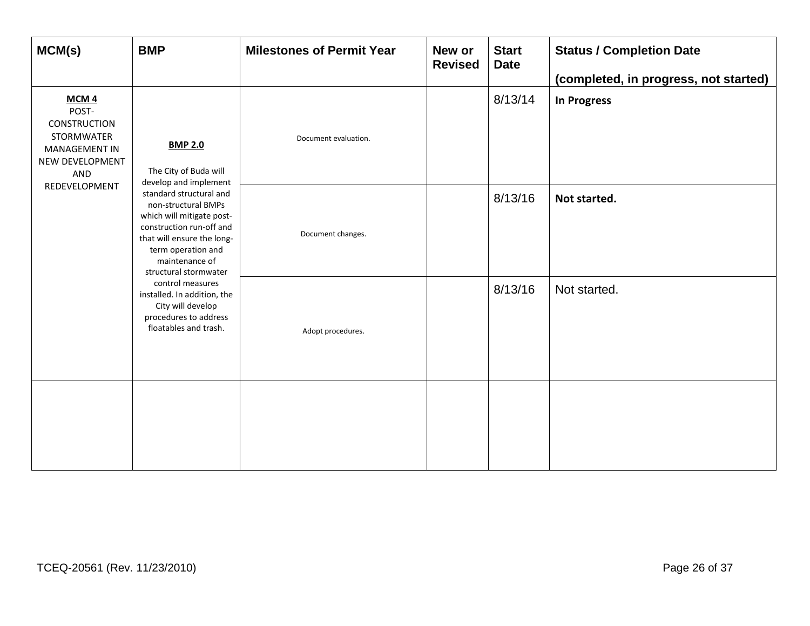| MCM(s)                                                                                                    | <b>BMP</b>                                                                                                                                                                                                                                                                                                                                                                                           | <b>Milestones of Permit Year</b> | New or<br><b>Revised</b> | <b>Start</b><br><b>Date</b> | <b>Status / Completion Date</b><br>(completed, in progress, not started) |
|-----------------------------------------------------------------------------------------------------------|------------------------------------------------------------------------------------------------------------------------------------------------------------------------------------------------------------------------------------------------------------------------------------------------------------------------------------------------------------------------------------------------------|----------------------------------|--------------------------|-----------------------------|--------------------------------------------------------------------------|
| MCM <sub>4</sub><br>POST-<br>CONSTRUCTION<br>STORMWATER<br><b>MANAGEMENT IN</b><br>NEW DEVELOPMENT<br>AND | <b>BMP 2.0</b><br>The City of Buda will<br>develop and implement<br>standard structural and<br>non-structural BMPs<br>which will mitigate post-<br>construction run-off and<br>that will ensure the long-<br>term operation and<br>maintenance of<br>structural stormwater<br>control measures<br>installed. In addition, the<br>City will develop<br>procedures to address<br>floatables and trash. | Document evaluation.             |                          | 8/13/14                     | <b>In Progress</b>                                                       |
| REDEVELOPMENT                                                                                             |                                                                                                                                                                                                                                                                                                                                                                                                      | Document changes.                |                          | 8/13/16                     | Not started.                                                             |
|                                                                                                           |                                                                                                                                                                                                                                                                                                                                                                                                      | Adopt procedures.                |                          | 8/13/16                     | Not started.                                                             |
|                                                                                                           |                                                                                                                                                                                                                                                                                                                                                                                                      |                                  |                          |                             |                                                                          |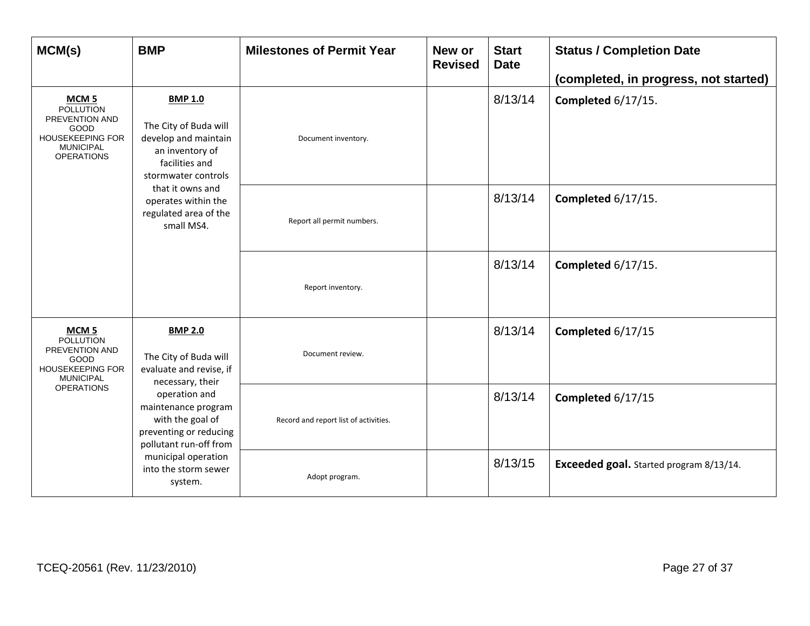| MCM(s)                                                                                                                                    | <b>BMP</b>                                                                                                                                                                                                    | <b>Milestones of Permit Year</b>      | New or<br><b>Revised</b> | <b>Start</b><br><b>Date</b> | <b>Status / Completion Date</b><br>(completed, in progress, not started) |
|-------------------------------------------------------------------------------------------------------------------------------------------|---------------------------------------------------------------------------------------------------------------------------------------------------------------------------------------------------------------|---------------------------------------|--------------------------|-----------------------------|--------------------------------------------------------------------------|
| MCM <sub>5</sub><br><b>POLLUTION</b><br>PREVENTION AND<br><b>GOOD</b><br><b>HOUSEKEEPING FOR</b><br><b>MUNICIPAL</b><br><b>OPERATIONS</b> | <b>BMP 1.0</b><br>The City of Buda will<br>develop and maintain<br>an inventory of<br>facilities and<br>stormwater controls<br>that it owns and<br>operates within the<br>regulated area of the<br>small MS4. | Document inventory.                   |                          | 8/13/14                     | Completed 6/17/15.                                                       |
|                                                                                                                                           |                                                                                                                                                                                                               | Report all permit numbers.            |                          | 8/13/14                     | Completed 6/17/15.                                                       |
|                                                                                                                                           |                                                                                                                                                                                                               | Report inventory.                     |                          | 8/13/14                     | Completed 6/17/15.                                                       |
| MCM <sub>5</sub><br><b>POLLUTION</b><br>PREVENTION AND<br><b>GOOD</b><br><b>HOUSEKEEPING FOR</b><br><b>MUNICIPAL</b><br><b>OPERATIONS</b> | <b>BMP 2.0</b><br>The City of Buda will<br>evaluate and revise, if<br>necessary, their<br>operation and<br>maintenance program<br>with the goal of<br>preventing or reducing<br>pollutant run-off from        | Document review.                      |                          | 8/13/14                     | Completed 6/17/15                                                        |
|                                                                                                                                           |                                                                                                                                                                                                               | Record and report list of activities. |                          | 8/13/14                     | Completed 6/17/15                                                        |
|                                                                                                                                           | municipal operation<br>into the storm sewer<br>system.                                                                                                                                                        | Adopt program.                        |                          | 8/13/15                     | Exceeded goal. Started program 8/13/14.                                  |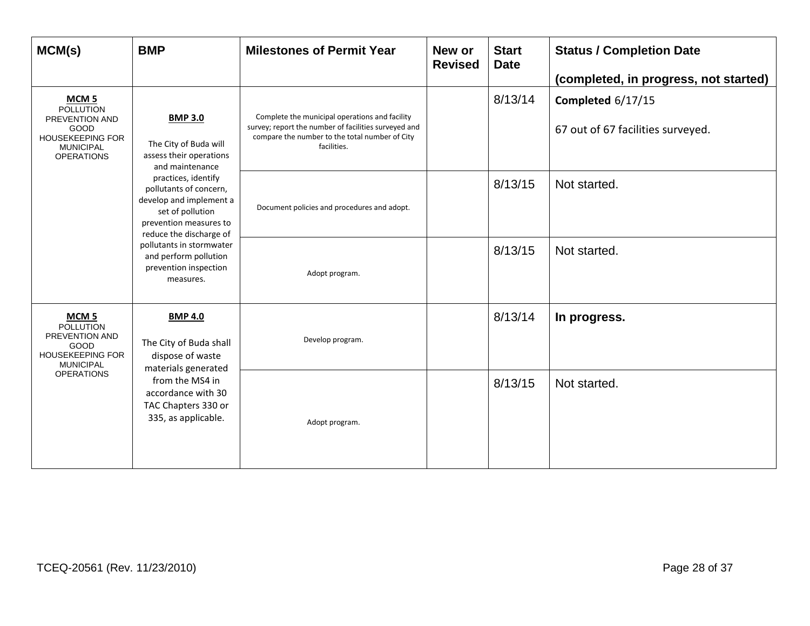| MCM(s)                                                                                                                             | <b>BMP</b>                                                                                                                                                                                                                                 | <b>Milestones of Permit Year</b>                                                                                                                                        | New or<br><b>Revised</b> | <b>Start</b><br><b>Date</b> | <b>Status / Completion Date</b><br>(completed, in progress, not started) |
|------------------------------------------------------------------------------------------------------------------------------------|--------------------------------------------------------------------------------------------------------------------------------------------------------------------------------------------------------------------------------------------|-------------------------------------------------------------------------------------------------------------------------------------------------------------------------|--------------------------|-----------------------------|--------------------------------------------------------------------------|
| MCM <sub>5</sub><br><b>POLLUTION</b><br>PREVENTION AND<br>GOOD<br><b>HOUSEKEEPING FOR</b><br><b>MUNICIPAL</b><br><b>OPERATIONS</b> | <b>BMP 3.0</b><br>The City of Buda will<br>assess their operations<br>and maintenance<br>practices, identify<br>pollutants of concern,<br>develop and implement a<br>set of pollution<br>prevention measures to<br>reduce the discharge of | Complete the municipal operations and facility<br>survey; report the number of facilities surveyed and<br>compare the number to the total number of City<br>facilities. |                          | 8/13/14                     | Completed 6/17/15<br>67 out of 67 facilities surveyed.                   |
|                                                                                                                                    |                                                                                                                                                                                                                                            | Document policies and procedures and adopt.                                                                                                                             |                          | 8/13/15                     | Not started.                                                             |
|                                                                                                                                    | pollutants in stormwater<br>and perform pollution<br>prevention inspection<br>measures.                                                                                                                                                    | Adopt program.                                                                                                                                                          |                          | 8/13/15                     | Not started.                                                             |
| MCM <sub>5</sub><br><b>POLLUTION</b><br>PREVENTION AND<br>GOOD<br><b>HOUSEKEEPING FOR</b><br><b>MUNICIPAL</b><br><b>OPERATIONS</b> | <b>BMP 4.0</b><br>The City of Buda shall<br>dispose of waste<br>materials generated<br>from the MS4 in<br>accordance with 30<br>TAC Chapters 330 or<br>335, as applicable.                                                                 | Develop program.                                                                                                                                                        |                          | 8/13/14                     | In progress.                                                             |
|                                                                                                                                    |                                                                                                                                                                                                                                            | Adopt program.                                                                                                                                                          |                          | 8/13/15                     | Not started.                                                             |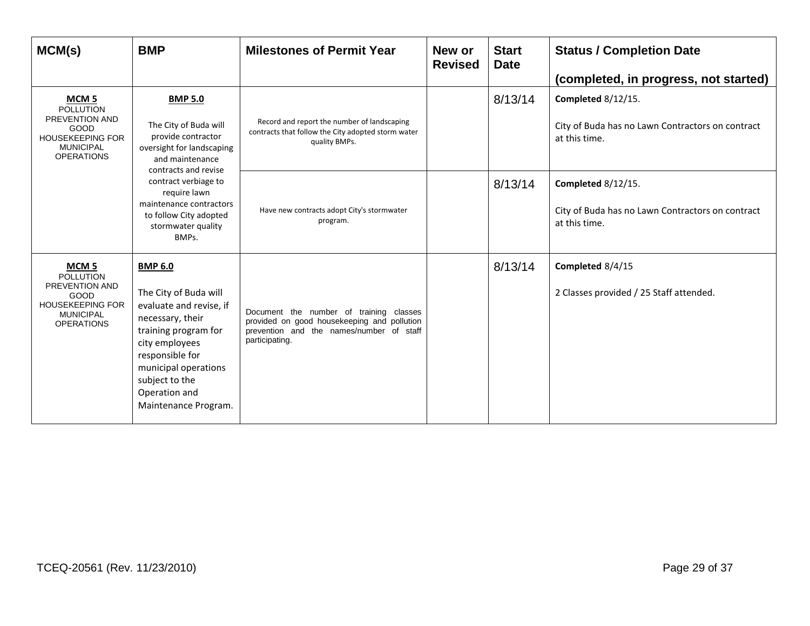| MCM(s)                                                                                                                                    | <b>BMP</b>                                                                                                                                                                                                                                                        | <b>Milestones of Permit Year</b>                                                                                                                     | New or<br><b>Revised</b> | <b>Start</b><br><b>Date</b> | <b>Status / Completion Date</b><br>(completed, in progress, not started)                |
|-------------------------------------------------------------------------------------------------------------------------------------------|-------------------------------------------------------------------------------------------------------------------------------------------------------------------------------------------------------------------------------------------------------------------|------------------------------------------------------------------------------------------------------------------------------------------------------|--------------------------|-----------------------------|-----------------------------------------------------------------------------------------|
| MCM <sub>5</sub><br><b>POLLUTION</b><br>PREVENTION AND<br>GOOD<br><b>HOUSEKEEPING FOR</b><br><b>MUNICIPAL</b><br><b>OPERATIONS</b>        | <b>BMP 5.0</b><br>The City of Buda will<br>provide contractor<br>oversight for landscaping<br>and maintenance<br>contracts and revise<br>contract verbiage to<br>require lawn<br>maintenance contractors<br>to follow City adopted<br>stormwater quality<br>BMPs. | Record and report the number of landscaping<br>contracts that follow the City adopted storm water<br>quality BMPs.                                   |                          | 8/13/14                     | Completed 8/12/15.<br>City of Buda has no Lawn Contractors on contract<br>at this time. |
|                                                                                                                                           |                                                                                                                                                                                                                                                                   | Have new contracts adopt City's stormwater<br>program.                                                                                               |                          | 8/13/14                     | Completed 8/12/15.<br>City of Buda has no Lawn Contractors on contract<br>at this time. |
| MCM <sub>5</sub><br><b>POLLUTION</b><br><b>PREVENTION AND</b><br>GOOD<br><b>HOUSEKEEPING FOR</b><br><b>MUNICIPAL</b><br><b>OPERATIONS</b> | <b>BMP 6.0</b><br>The City of Buda will<br>evaluate and revise, if<br>necessary, their<br>training program for<br>city employees<br>responsible for<br>municipal operations<br>subject to the<br>Operation and<br>Maintenance Program.                            | Document the number of training classes<br>provided on good housekeeping and pollution<br>prevention and the names/number of staff<br>participating. |                          | 8/13/14                     | Completed 8/4/15<br>2 Classes provided / 25 Staff attended.                             |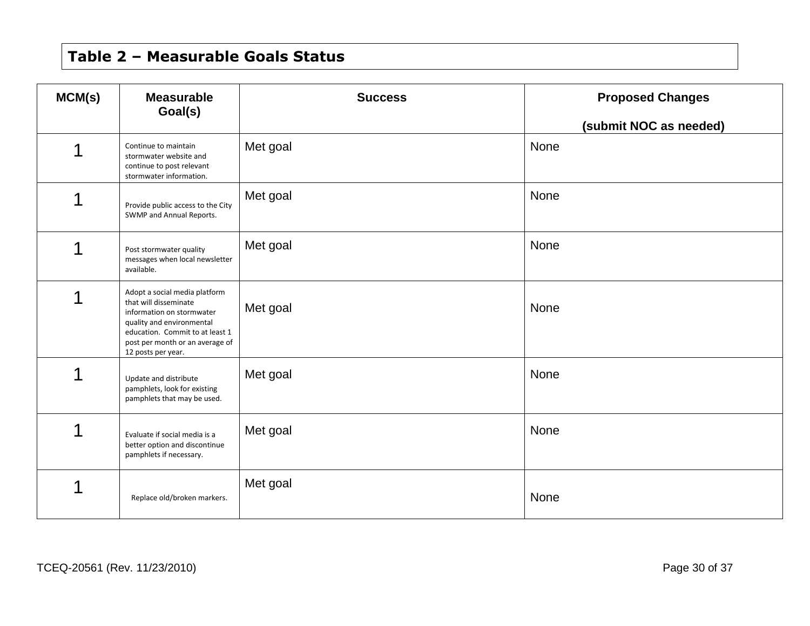# **Table 2 – Measurable Goals Status**

| MCM(s) | <b>Measurable</b><br>Goal(s)                                                                                                                                                                                 | <b>Success</b> | <b>Proposed Changes</b><br>(submit NOC as needed) |
|--------|--------------------------------------------------------------------------------------------------------------------------------------------------------------------------------------------------------------|----------------|---------------------------------------------------|
| 1      | Continue to maintain<br>stormwater website and<br>continue to post relevant<br>stormwater information.                                                                                                       | Met goal       | None                                              |
| 1      | Provide public access to the City<br>SWMP and Annual Reports.                                                                                                                                                | Met goal       | None                                              |
| 1      | Post stormwater quality<br>messages when local newsletter<br>available.                                                                                                                                      | Met goal       | None                                              |
|        | Adopt a social media platform<br>that will disseminate<br>information on stormwater<br>quality and environmental<br>education. Commit to at least 1<br>post per month or an average of<br>12 posts per year. | Met goal       | None                                              |
| 1      | Update and distribute<br>pamphlets, look for existing<br>pamphlets that may be used.                                                                                                                         | Met goal       | None                                              |
| 1      | Evaluate if social media is a<br>better option and discontinue<br>pamphlets if necessary.                                                                                                                    | Met goal       | None                                              |
| 1      | Replace old/broken markers.                                                                                                                                                                                  | Met goal       | None                                              |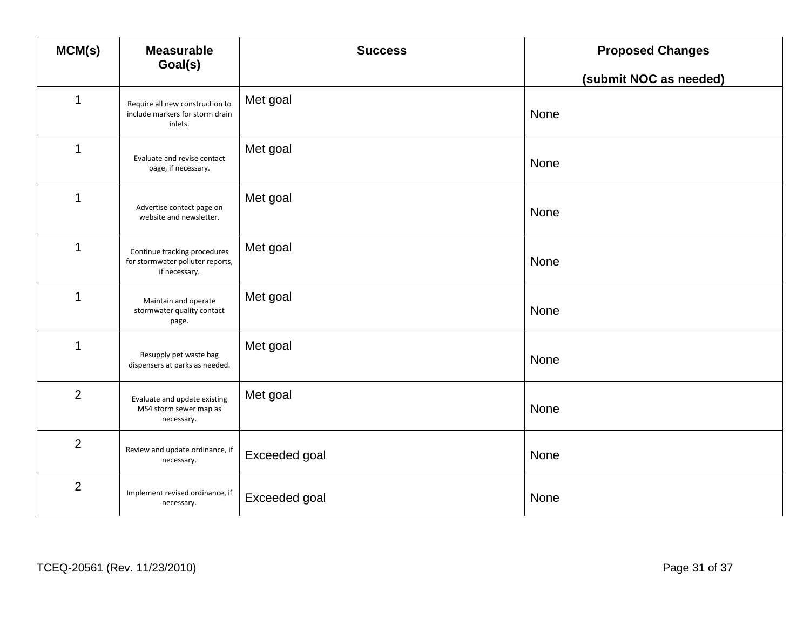| MCM(s)                  | <b>Measurable</b><br>Goal(s)                                                      | <b>Success</b> | <b>Proposed Changes</b> |
|-------------------------|-----------------------------------------------------------------------------------|----------------|-------------------------|
|                         |                                                                                   |                | (submit NOC as needed)  |
| 1                       | Require all new construction to<br>include markers for storm drain<br>inlets.     | Met goal       | None                    |
| $\mathbf 1$             | Evaluate and revise contact<br>page, if necessary.                                | Met goal       | None                    |
| $\mathbf 1$             | Advertise contact page on<br>website and newsletter.                              | Met goal       | None                    |
| $\overline{\mathbf{1}}$ | Continue tracking procedures<br>for stormwater polluter reports,<br>if necessary. | Met goal       | None                    |
| $\mathbf 1$             | Maintain and operate<br>stormwater quality contact<br>page.                       | Met goal       | None                    |
| $\mathbf 1$             | Resupply pet waste bag<br>dispensers at parks as needed.                          | Met goal       | None                    |
| $\overline{2}$          | Evaluate and update existing<br>MS4 storm sewer map as<br>necessary.              | Met goal       | None                    |
| 2                       | Review and update ordinance, if<br>necessary.                                     | Exceeded goal  | None                    |
| $\overline{2}$          | Implement revised ordinance, if<br>necessary.                                     | Exceeded goal  | None                    |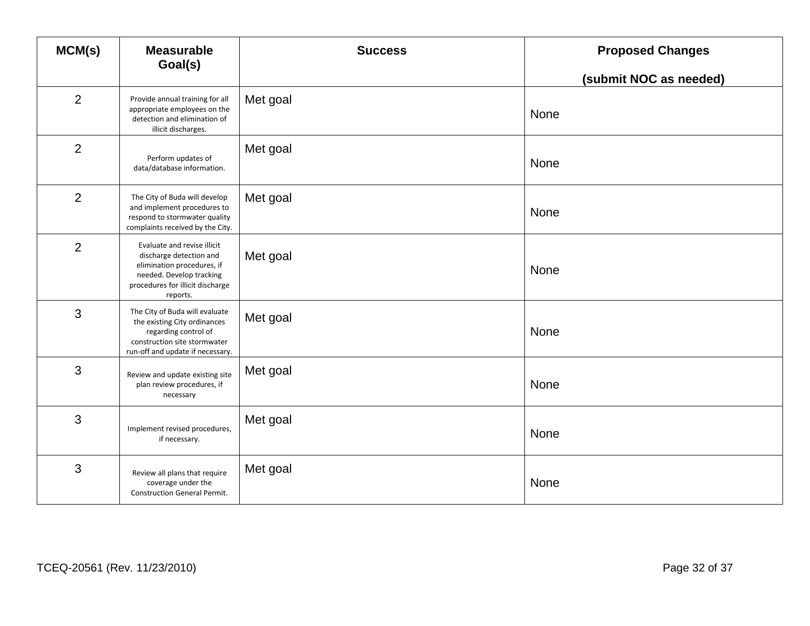| MCM(s)         | <b>Measurable</b><br>Goal(s)                                                                                                                                     | <b>Success</b> | <b>Proposed Changes</b> |
|----------------|------------------------------------------------------------------------------------------------------------------------------------------------------------------|----------------|-------------------------|
|                |                                                                                                                                                                  |                | (submit NOC as needed)  |
| $\overline{2}$ | Provide annual training for all<br>appropriate employees on the<br>detection and elimination of<br>illicit discharges.                                           | Met goal       | None                    |
| $\overline{2}$ | Perform updates of<br>data/database information.                                                                                                                 | Met goal       | None                    |
| $\overline{2}$ | The City of Buda will develop<br>and implement procedures to<br>respond to stormwater quality<br>complaints received by the City.                                | Met goal       | None                    |
| 2              | Evaluate and revise illicit<br>discharge detection and<br>elimination procedures, if<br>needed. Develop tracking<br>procedures for illicit discharge<br>reports. | Met goal       | None                    |
| 3              | The City of Buda will evaluate<br>the existing City ordinances<br>regarding control of<br>construction site stormwater<br>run-off and update if necessary.       | Met goal       | None                    |
| 3              | Review and update existing site<br>plan review procedures, if<br>necessary                                                                                       | Met goal       | None                    |
| 3              | Implement revised procedures,<br>if necessary.                                                                                                                   | Met goal       | None                    |
| 3              | Review all plans that require<br>coverage under the<br><b>Construction General Permit.</b>                                                                       | Met goal       | None                    |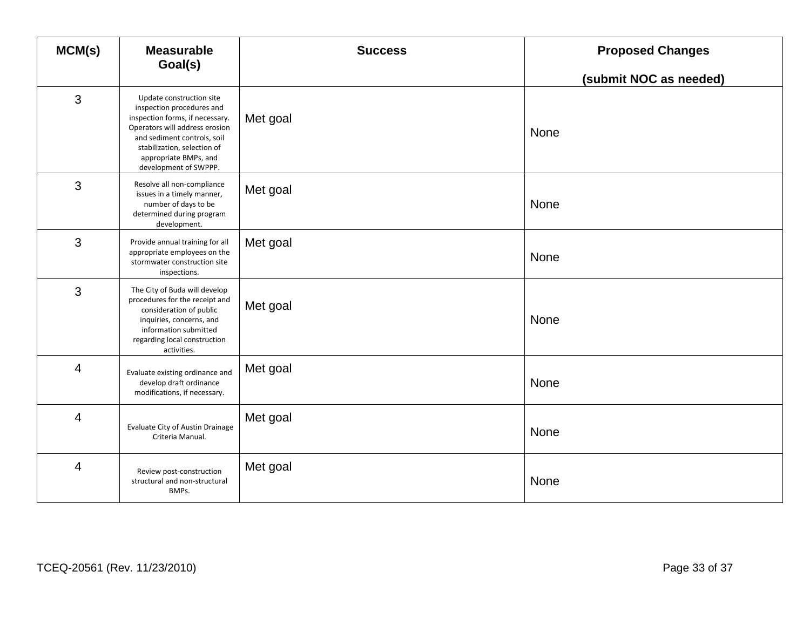| MCM(s)         | <b>Measurable</b><br>Goal(s)                                                                                                                                                                                                               | <b>Success</b> | <b>Proposed Changes</b> |
|----------------|--------------------------------------------------------------------------------------------------------------------------------------------------------------------------------------------------------------------------------------------|----------------|-------------------------|
|                |                                                                                                                                                                                                                                            |                | (submit NOC as needed)  |
| 3              | Update construction site<br>inspection procedures and<br>inspection forms, if necessary.<br>Operators will address erosion<br>and sediment controls, soil<br>stabilization, selection of<br>appropriate BMPs, and<br>development of SWPPP. | Met goal       | None                    |
| 3              | Resolve all non-compliance<br>issues in a timely manner,<br>number of days to be<br>determined during program<br>development.                                                                                                              | Met goal       | None                    |
| 3              | Provide annual training for all<br>appropriate employees on the<br>stormwater construction site<br>inspections.                                                                                                                            | Met goal       | None                    |
| 3              | The City of Buda will develop<br>procedures for the receipt and<br>consideration of public<br>inquiries, concerns, and<br>information submitted<br>regarding local construction<br>activities.                                             | Met goal       | None                    |
| $\overline{4}$ | Evaluate existing ordinance and<br>develop draft ordinance<br>modifications, if necessary.                                                                                                                                                 | Met goal       | None                    |
| $\overline{4}$ | Evaluate City of Austin Drainage<br>Criteria Manual.                                                                                                                                                                                       | Met goal       | None                    |
| $\overline{4}$ | Review post-construction<br>structural and non-structural<br>BMPs.                                                                                                                                                                         | Met goal       | None                    |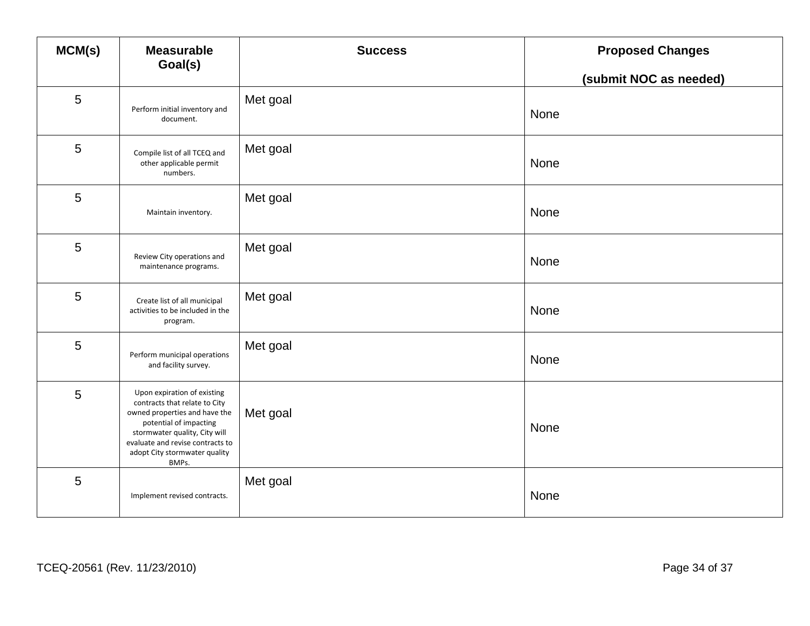| MCM(s)          | <b>Measurable</b><br>Goal(s)                                                                                                                                                                                                           | <b>Success</b> | <b>Proposed Changes</b> |
|-----------------|----------------------------------------------------------------------------------------------------------------------------------------------------------------------------------------------------------------------------------------|----------------|-------------------------|
|                 |                                                                                                                                                                                                                                        |                | (submit NOC as needed)  |
| 5               | Perform initial inventory and<br>document.                                                                                                                                                                                             | Met goal       | None                    |
| 5               | Compile list of all TCEQ and<br>other applicable permit<br>numbers.                                                                                                                                                                    | Met goal       | None                    |
| 5               | Maintain inventory.                                                                                                                                                                                                                    | Met goal       | None                    |
| 5               | Review City operations and<br>maintenance programs.                                                                                                                                                                                    | Met goal       | None                    |
| 5               | Create list of all municipal<br>activities to be included in the<br>program.                                                                                                                                                           | Met goal       | None                    |
| 5               | Perform municipal operations<br>and facility survey.                                                                                                                                                                                   | Met goal       | None                    |
| $5\phantom{.0}$ | Upon expiration of existing<br>contracts that relate to City<br>owned properties and have the<br>potential of impacting<br>stormwater quality, City will<br>evaluate and revise contracts to<br>adopt City stormwater quality<br>BMPs. | Met goal       | None                    |
| 5               | Implement revised contracts.                                                                                                                                                                                                           | Met goal       | None                    |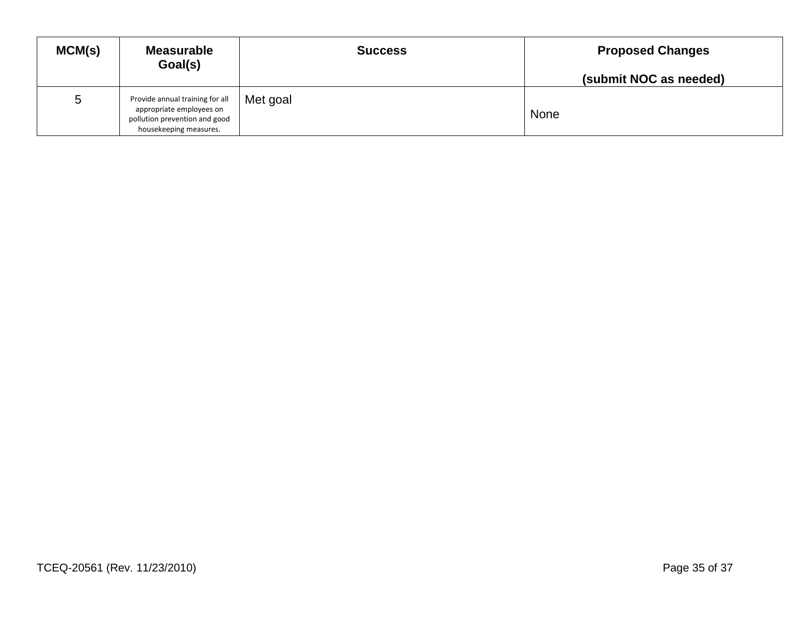| MCM(s) | <b>Measurable</b><br>Goal(s)                                                                                           | <b>Success</b> | <b>Proposed Changes</b><br>(submit NOC as needed) |
|--------|------------------------------------------------------------------------------------------------------------------------|----------------|---------------------------------------------------|
| 5      | Provide annual training for all<br>appropriate employees on<br>pollution prevention and good<br>housekeeping measures. | Met goal       | None                                              |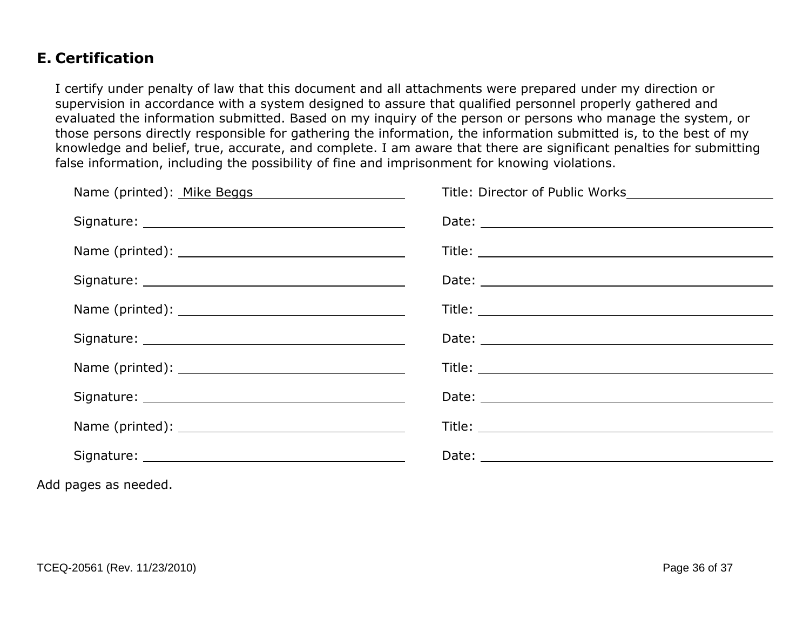### **E. Certification**

I certify under penalty of law that this document and all attachments were prepared under my direction or supervision in accordance with a system designed to assure that qualified personnel properly gathered and evaluated the information submitted. Based on my inquiry of the person or persons who manage the system, or those persons directly responsible for gathering the information, the information submitted is, to the best of my knowledge and belief, true, accurate, and complete. I am aware that there are significant penalties for submitting false information, including the possibility of fine and imprisonment for knowing violations.

| Name (printed): Mike Beggs Manuscriptum Manuscriptum Manuscriptum Manuscriptum Manuscriptum Manuscriptum Manus | Title: Director of Public Works                                                                                                                                                                                                     |
|----------------------------------------------------------------------------------------------------------------|-------------------------------------------------------------------------------------------------------------------------------------------------------------------------------------------------------------------------------------|
|                                                                                                                |                                                                                                                                                                                                                                     |
|                                                                                                                |                                                                                                                                                                                                                                     |
|                                                                                                                |                                                                                                                                                                                                                                     |
|                                                                                                                |                                                                                                                                                                                                                                     |
|                                                                                                                | Date: National Accounts and Accounts and Accounts and Accounts and Accounts and Accounts and Accounts and Accounts and Accounts and Accounts and Accounts and Accounts and Accounts and Accounts and Accounts and Accounts and      |
|                                                                                                                |                                                                                                                                                                                                                                     |
|                                                                                                                |                                                                                                                                                                                                                                     |
|                                                                                                                |                                                                                                                                                                                                                                     |
|                                                                                                                | Date: <u>Date: Explorer</u> Partnership and Partnership and Partnership and Partnership and Partnership and Partnership and Partnership and Partnership and Partnership and Partnership and Partnership and Partnership and Partner |
|                                                                                                                |                                                                                                                                                                                                                                     |

Add pages as needed.